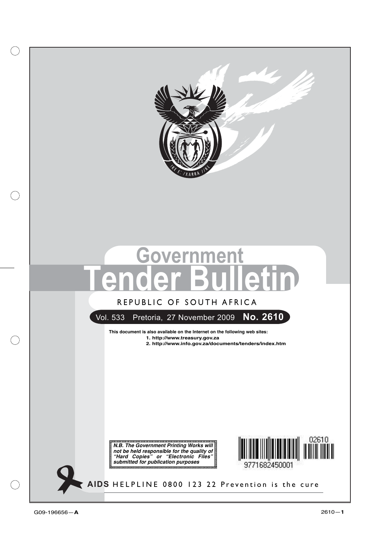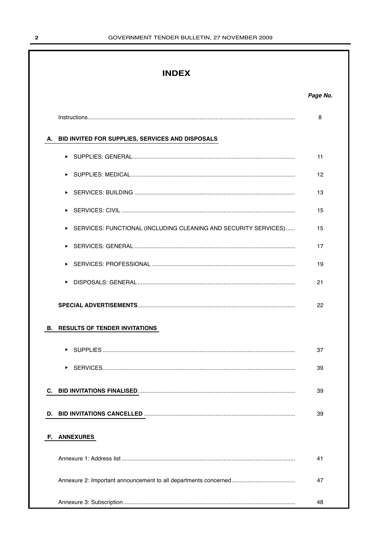## **INDEX**

|    |                                                                 | 8  |
|----|-----------------------------------------------------------------|----|
|    | A. BID INVITED FOR SUPPLIES, SERVICES AND DISPOSALS             |    |
|    |                                                                 | 11 |
|    |                                                                 | 12 |
|    | ▶                                                               | 13 |
|    |                                                                 | 15 |
|    | SERVICES: FUNCTIONAL (INCLUDING CLEANING AND SECURITY SERVICES) | 15 |
|    | ▶                                                               | 17 |
|    | ▶                                                               | 19 |
|    | ▶                                                               | 21 |
|    |                                                                 | 22 |
| В. | <b>RESULTS OF TENDER INVITATIONS</b>                            |    |
|    |                                                                 | 37 |
|    | ▶                                                               | 39 |
|    |                                                                 | 39 |
| D. |                                                                 | 39 |
| E. | <b>ANNEXURES</b>                                                |    |
|    |                                                                 | 41 |
|    |                                                                 | 47 |
|    |                                                                 | 48 |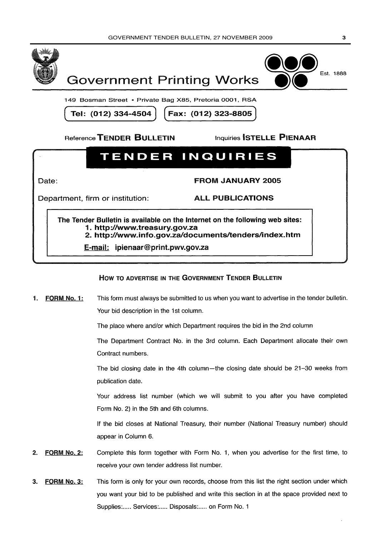



149 Bosman Street • Private Bag X85, Pretoria 0001, RSA

Tel: (012) 334-4504

Fax: (012) 323-8805

Reference TENDER BULLETIN

**Inquiries STELLE PIENAAR** 

# **TENDER INQUIRIES**

Date:

**FROM JANUARY 2005** 

Department, firm or institution:

**ALL PUBLICATIONS** 

The Tender Bulletin is available on the Internet on the following web sites: 1. http://www.treasurv.gov.za 2. http://www.info.gov.za/documents/tenders/index.htm

E-mail: ipienaar@print.pwv.gov.za

## HOW TO ADVERTISE IN THE GOVERNMENT TENDER BULLETIN

This form must always be submitted to us when you want to advertise in the tender bulletin. FORM No. 1: 1. Your bid description in the 1st column.

The place where and/or which Department requires the bid in the 2nd column

The Department Contract No. in the 3rd column. Each Department allocate their own Contract numbers.

The bid closing date in the 4th column—the closing date should be 21-30 weeks from publication date.

Your address list number (which we will submit to you after you have completed Form No. 2) in the 5th and 6th columns.

If the bid closes at National Treasury, their number (National Treasury number) should appear in Column 6.

- **FORM No. 2:** Complete this form together with Form No. 1, when you advertise for the first time, to  $2.$ receive your own tender address list number.
- This form is only for your own records, choose from this list the right section under which FORM No. 3:  $\mathbf{R}$ you want your bid to be published and write this section in at the space provided next to Supplies:..... Services:..... Disposals:..... on Form No. 1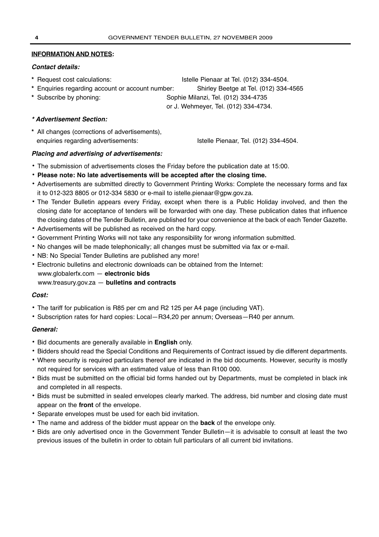## **INFORMATION AND NOTES:**

## **Contact details:**

- **\*** Request cost calculations: Istelle Pienaar at Tel. (012) 334-4504.
- **\*** Enquiries regarding account or account number: Shirley Beetge at Tel. (012) 334-4565
- 

**\*** Subscribe by phoning: Sophie Milanzi, Tel. (012) 334-4735

or J. Wehmeyer, Tel. (012) 334-4734.

## **\* Advertisement Section:**

**\*** All changes (corrections of advertisements), enquiries regarding advertisements: Istelle Pienaar, Tel. (012) 334-4504.

## **Placing and advertising of advertisements:**

- **•** The submission of advertisements closes the Friday before the publication date at 15:00.
- **• Please note: No late advertisements will be accepted after the closing time.**
- **•** Advertisements are submitted directly to Government Printing Works: Complete the necessary forms and fax it to 012-323 8805 or 012-334 5830 or e-mail to istelle.pienaar@gpw.gov.za.
- **•** The Tender Bulletin appears every Friday, except when there is a Public Holiday involved, and then the closing date for acceptance of tenders will be forwarded with one day. These publication dates that influence the closing dates of the Tender Bulletin, are published for your convenience at the back of each Tender Gazette.
- **•** Advertisements will be published as received on the hard copy.
- **•** Government Printing Works will not take any responsibility for wrong information submitted.
- **•** No changes will be made telephonically; all changes must be submitted via fax or e-mail.
- **•** NB: No Special Tender Bulletins are published any more!
- **•** Electronic bulletins and electronic downloads can be obtained from the Internet:
- www.globalerfx.com **electronic bids**
- www.treasury.gov.za **bulletins and contracts**

## **Cost:**

- **•** The tariff for publication is R85 per cm and R2 125 per A4 page (including VAT).
- **•** Subscription rates for hard copies: Local—R34,20 per annum; Overseas—R40 per annum.

## **General:**

- **•** Bid documents are generally available in **English** only.
- **•** Bidders should read the Special Conditions and Requirements of Contract issued by die different departments.
- **•** Where security is required particulars thereof are indicated in the bid documents. However, security is mostly not required for services with an estimated value of less than R100 000.
- **•** Bids must be submitted on the official bid forms handed out by Departments, must be completed in black ink and completed in all respects.
- **•** Bids must be submitted in sealed envelopes clearly marked. The address, bid number and closing date must appear on the **front** of the envelope.
- **•** Separate envelopes must be used for each bid invitation.
- **•** The name and address of the bidder must appear on the **back** of the envelope only.
- **•** Bids are only advertised once in the Government Tender Bulletin—it is advisable to consult at least the two previous issues of the bulletin in order to obtain full particulars of all current bid invitations.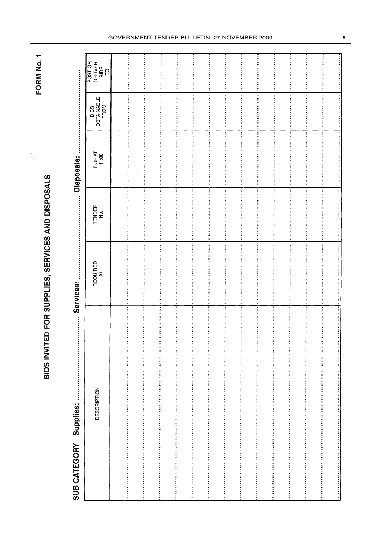FORM No. 1

BIDS INVITED FOR SUPPLIES, SERVICES AND DISPOSALS

Services: 

| POST OR<br><b>DELIVER</b><br><b>BIDS</b><br>S |      |                               |  | ------------------ |                                                                                                                                                                                                                                |  |
|-----------------------------------------------|------|-------------------------------|--|--------------------|--------------------------------------------------------------------------------------------------------------------------------------------------------------------------------------------------------------------------------|--|
| <b>OBTAINABLE</b><br>FROM<br>BIDS             |      |                               |  |                    |                                                                                                                                                                                                                                |  |
| DUE AT<br>11:00                               |      |                               |  |                    |                                                                                                                                                                                                                                |  |
| TENDER<br>No.                                 |      |                               |  |                    |                                                                                                                                                                                                                                |  |
| REQUIRED<br>AT                                |      |                               |  |                    |                                                                                                                                                                                                                                |  |
| DESCRIPTION                                   | <br> | <br><b>Assistant Property</b> |  |                    | , настоящие оборожение от простоянно политического простоянности и политического простояния и политической политической политической компьютер и политической компьютер и политической компьютер и политической компьютер и по |  |

#### GOVERNMENT TENDER BULLETIN, 27 NOVEMBER 2009 **5**

i<br>:<br>:

Î

Ŧ

 $\frac{1}{2}$ 

 $\frac{1}{2}$ 

 $\ddot{\ddot{\ } }$ 

j

Ĩ

i<br>i

:<br>:<br>:

İ

............

Ì

**The Company's** 

**Production** 

 $\ddot{\ddot{\cdot}}$ 

İ

*<u><u><u>.</u>*</u></u>

,,,,,,,,,,,,,,,,,,,,,,,,,,,,,,

Ī

İ

...........

 $\ddot{}}$ 

 $\begin{array}{ccc}\n\vdots & \vdots & \vdots \\
\vdots & \vdots & \vdots \\
\vdots & \vdots & \vdots \\
\vdots & \vdots & \vdots \\
\vdots & \vdots & \vdots \\
\vdots & \vdots & \vdots \\
\vdots & \vdots & \vdots \\
\vdots & \vdots & \vdots \\
\vdots & \vdots & \vdots \\
\vdots & \vdots & \vdots \\
\vdots & \vdots & \vdots \\
\vdots & \vdots & \vdots \\
\vdots & \vdots & \vdots \\
\vdots & \vdots & \vdots \\
\vdots & \vdots & \vdots \\
\vdots & \vdots & \vdots \\
\vdots & \vdots & \vdots \\
\vdots & \vdots &$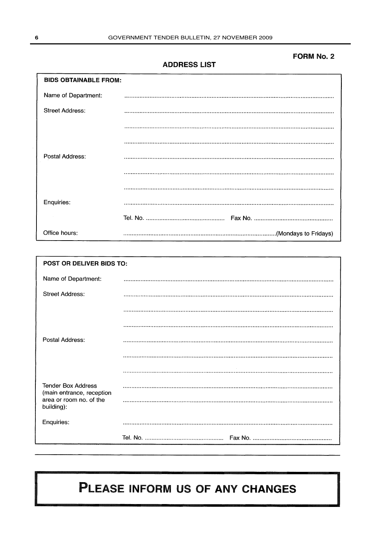## **FORM No. 2**

**ADDRESS LIST** 

| <b>BIDS OBTAINABLE FROM:</b> |  |  |  |  |
|------------------------------|--|--|--|--|
| Name of Department:          |  |  |  |  |
| <b>Street Address:</b>       |  |  |  |  |
|                              |  |  |  |  |
|                              |  |  |  |  |
| Postal Address:              |  |  |  |  |
|                              |  |  |  |  |
|                              |  |  |  |  |
| Enquiries:                   |  |  |  |  |
|                              |  |  |  |  |
| Office hours:                |  |  |  |  |

| POST OR DELIVER BIDS TO:                               |  |  |  |  |  |
|--------------------------------------------------------|--|--|--|--|--|
| Name of Department:                                    |  |  |  |  |  |
| Street Address:                                        |  |  |  |  |  |
|                                                        |  |  |  |  |  |
|                                                        |  |  |  |  |  |
| Postal Address:                                        |  |  |  |  |  |
|                                                        |  |  |  |  |  |
|                                                        |  |  |  |  |  |
| <b>Tender Box Address</b><br>(main entrance, reception |  |  |  |  |  |
| area or room no. of the<br>building):                  |  |  |  |  |  |
| Enquiries:                                             |  |  |  |  |  |
|                                                        |  |  |  |  |  |

# PLEASE INFORM US OF ANY CHANGES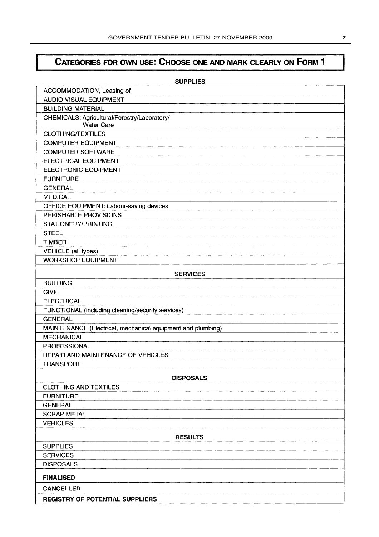# CATEGORIES FOR OWN USE: CHOOSE ONE AND MARK CLEARLY ON FORM 1

| <b>SUPPLIES</b>                                                   |
|-------------------------------------------------------------------|
| ACCOMMODATION, Leasing of                                         |
| <b>AUDIO VISUAL EQUIPMENT</b>                                     |
| <b>BUILDING MATERIAL</b>                                          |
| CHEMICALS: Agricultural/Forestry/Laboratory/<br><b>Water Care</b> |
| <b>CLOTHING/TEXTILES</b>                                          |
| <b>COMPUTER EQUIPMENT</b>                                         |
| <b>COMPUTER SOFTWARE</b>                                          |
| <b>ELECTRICAL EQUIPMENT</b>                                       |
| <b>ELECTRONIC EQUIPMENT</b>                                       |
| <b>FURNITURE</b>                                                  |
| <b>GENERAL</b>                                                    |
| <b>MEDICAL</b>                                                    |
| OFFICE EQUIPMENT: Labour-saving devices                           |
| PERISHABLE PROVISIONS                                             |
| STATIONERY/PRINTING                                               |
| <b>STEEL</b>                                                      |
| <b>TIMBER</b>                                                     |
| <b>VEHICLE</b> (all types)                                        |
| <b>WORKSHOP EQUIPMENT</b>                                         |
| <b>SERVICES</b>                                                   |
| <b>BUILDING</b>                                                   |
| <b>CIVIL</b>                                                      |
| <b>ELECTRICAL</b>                                                 |
| FUNCTIONAL (including cleaning/security services)                 |
| <b>GENERAL</b>                                                    |
| MAINTENANCE (Electrical, mechanical equipment and plumbing)       |
| <b>MECHANICAL</b>                                                 |
| <b>PROFESSIONAL</b>                                               |
| <b>REPAIR AND MAINTENANCE OF VEHICLES</b>                         |
| <b>TRANSPORT</b>                                                  |
| <b>DISPOSALS</b>                                                  |
| <b>CLOTHING AND TEXTILES</b>                                      |
| <b>FURNITURE</b>                                                  |
| <b>GENERAL</b>                                                    |
| <b>SCRAP METAL</b>                                                |
| <b>VEHICLES</b>                                                   |
| <b>RESULTS</b>                                                    |
| <b>SUPPLIES</b>                                                   |
| <b>SERVICES</b>                                                   |
| <b>DISPOSALS</b>                                                  |
| <b>FINALISED</b>                                                  |
| <b>CANCELLED</b>                                                  |
| <b>REGISTRY OF POTENTIAL SUPPLIERS</b>                            |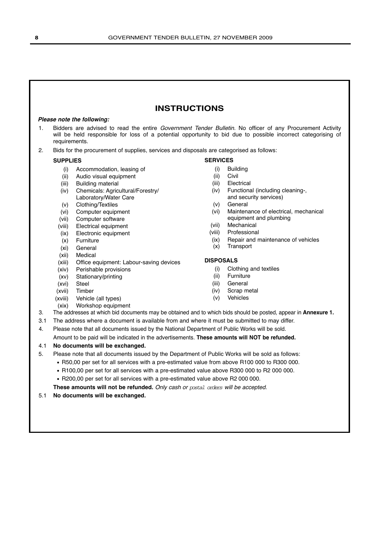## **INSTRUCTIONS**

#### **Please note the following:**

- 1. Bidders are advised to read the entire Government Tender Bulletin. No officer of any Procurement Activity will be held responsible for loss of a potential opportunity to bid due to possible incorrect categorising of requirements.
- 2. Bids for the procurement of supplies, services and disposals are categorised as follows:

#### **SUPPLIES**

- (i) Accommodation, leasing of
- (ii) Audio visual equipment
- (iii) Building material
- (iv) Chemicals: Agricultural/Forestry/ Laboratory/Water Care
- (v) Clothing/Textiles
- (vi) Computer equipment
- (vii) Computer software
- (viii) Electrical equipment
- (ix) Electronic equipment
- (x) Furniture
- (xi) General
- (xii) Medical
- (xiii) Office equipment: Labour-saving devices
- (xiv) Perishable provisions
- (xv) Stationary/printing
- (xvi) Steel
- (xvii) Timber
- (xviii) Vehicle (all types)
- (xix) Workshop equipment

- (i) Building
- (ii) Civil
- (iii) Electrical
- (iv) Functional (including cleaning-, and security services)
- (v) General
- (vi) Maintenance of electrical, mechanical equipment and plumbing
- (vii) Mechanical
- (viii) Professional
- (ix) Repair and maintenance of vehicles
- (x) Transport

#### **DISPOSALS**

- (i) Clothing and textiles
- (ii) Furniture
- (iii) General
- (iv) Scrap metal
- (v) Vehicles
- 
- 3. The addresses at which bid documents may be obtained and to which bids should be posted, appear in **Annexure 1.**
- 3.1 The address where a document is available from and where it must be submitted to may differ.
- 4. Please note that all documents issued by the National Department of Public Works will be sold.

Amount to be paid will be indicated in the advertisements. **These amounts will NOT be refunded.**

## 4.1 **No documents will be exchanged.**

- 5. Please note that all documents issued by the Department of Public Works will be sold as follows:
	- R50,00 per set for all services with a pre-estimated value from above R100 000 to R300 000.
	- R100,00 per set for all services with a pre-estimated value above R300 000 to R2 000 000.
	- R200,00 per set for all services with a pre-estimated value above R2 000 000.

**These amounts will not be refunded.** Only cash or postal orders will be accepted.

#### 5.1 **No documents will be exchanged.**

**SERVICES**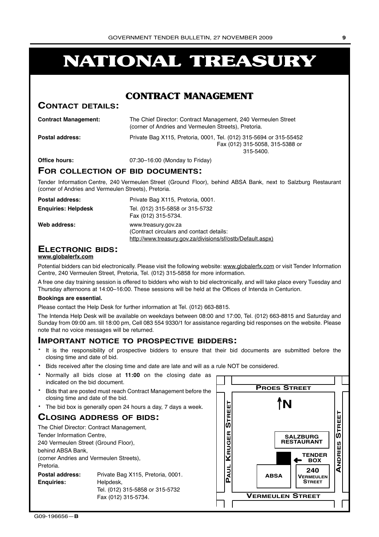# **NATIONAL TREASURY**

## **CONTRACT MANAGEMENT**

## **CONTACT DETAILS:**

| <b>Contract Management:</b> | The Chief Director: Contract Management, 240 Vermeulen Street<br>(corner of Andries and Vermeulen Streets), Pretoria. |
|-----------------------------|-----------------------------------------------------------------------------------------------------------------------|
| <b>Postal address:</b>      | Private Bag X115, Pretoria, 0001, Tel. (012) 315-5694 or 315-55452<br>Fax (012) 315-5058, 315-5388 or<br>$315 - 5400$ |
| Office hours:               | 07:30-16:00 (Monday to Friday)                                                                                        |

## **FOR COLLECTION OF BID DOCUMENTS:**

Tender Information Centre, 240 Vermeulen Street (Ground Floor), behind ABSA Bank, next to Salzburg Restaurant (corner of Andries and Vermeulen Streets), Pretoria.

| Postal address:            | Private Bag X115, Pretoria, 0001.                                                                                             |
|----------------------------|-------------------------------------------------------------------------------------------------------------------------------|
| <b>Enguiries: Helpdesk</b> | Tel. (012) 315-5858 or 315-5732<br>Fax (012) 315-5734.                                                                        |
| Web address:               | www.treasury.gov.za<br>(Contract circulars and contact details:<br>http://www.treasury.gov.za/divisions/sf/ostb/Default.aspx) |

## **ELECTRONIC BIDS:**

#### **www.globalerfx.com**

Potential bidders can bid electronically. Please visit the following website: www.globalerfx.com or visit Tender Information Centre, 240 Vermeulen Street, Pretoria, Tel. (012) 315-5858 for more information.

A free one day training session is offered to bidders who wish to bid electronically, and will take place every Tuesday and Thursday afternoons at 14:00–16:00. These sessions will be held at the Offices of Intenda in Centurion.

#### **Bookings are essential.**

Please contact the Help Desk for further information at Tel. (012) 663-8815.

The Intenda Help Desk will be available on weekdays between 08:00 and 17:00, Tel. (012) 663-8815 and Saturday and Sunday from 09:00 am. till 18:00 pm, Cell 083 554 9330/1 for assistance regarding bid responses on the website. Please note that no voice messages will be returned.

## **IMPORTANT NOTICE TO PROSPECTIVE BIDDERS:**

- It is the responsibility of prospective bidders to ensure that their bid documents are submitted before the closing time and date of bid.
- Bids received after the closing time and date are late and will as a rule NOT be considered.
- Normally all bids close at **11:00** on the closing date as indicated on the bid document.
- Bids that are posted must reach Contract Management before the closing time and date of the bid.
- The bid box is generally open 24 hours a day, 7 days a week.

## **CLOSING ADDRESS OF BIDS:**

| The Chief Director: Contract Management, |                                   |  |  |  |  |  |  |  |
|------------------------------------------|-----------------------------------|--|--|--|--|--|--|--|
|                                          | Tender Information Centre,        |  |  |  |  |  |  |  |
| 240 Vermeulen Street (Ground Floor),     |                                   |  |  |  |  |  |  |  |
| behind ABSA Bank,                        |                                   |  |  |  |  |  |  |  |
| (corner Andries and Vermeulen Streets),  |                                   |  |  |  |  |  |  |  |
| Pretoria.                                |                                   |  |  |  |  |  |  |  |
| <b>Postal address:</b>                   | Private Bag X115, Pretoria, 0001. |  |  |  |  |  |  |  |
| <b>Enguiries:</b><br>Helpdesk,           |                                   |  |  |  |  |  |  |  |
| Tel. (012) 315-5858 or 315-5732          |                                   |  |  |  |  |  |  |  |
|                                          | Fax (012) 315-5734.               |  |  |  |  |  |  |  |

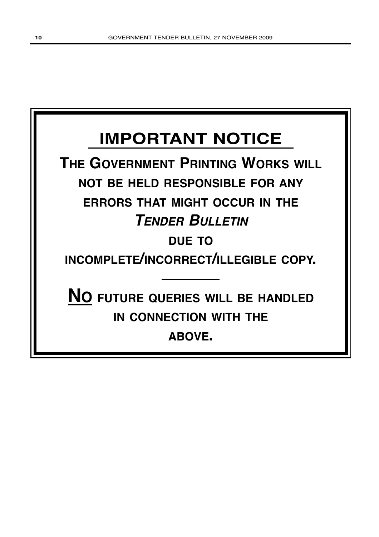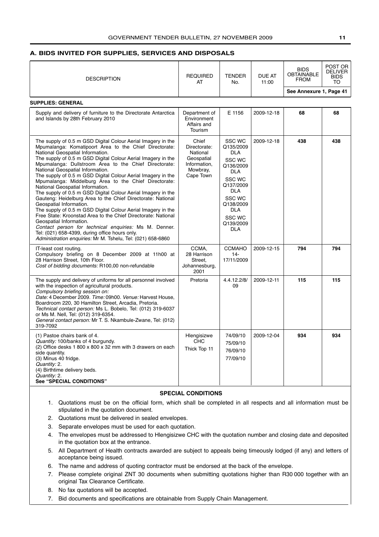#### <span id="page-10-0"></span>**A. BIDS INVITED FOR SUPPLIES, SERVICES AND DISPOSALS**

|                                                                                                                                                                                                                                                                                                                                                                                                                                                                                                                                                                                                                                                                                                                                                                                                                                                                                                                                                                                      |                                                                                          |                                                                                                                                                                                                     |                 |                                                 | POST OR                                    |
|--------------------------------------------------------------------------------------------------------------------------------------------------------------------------------------------------------------------------------------------------------------------------------------------------------------------------------------------------------------------------------------------------------------------------------------------------------------------------------------------------------------------------------------------------------------------------------------------------------------------------------------------------------------------------------------------------------------------------------------------------------------------------------------------------------------------------------------------------------------------------------------------------------------------------------------------------------------------------------------|------------------------------------------------------------------------------------------|-----------------------------------------------------------------------------------------------------------------------------------------------------------------------------------------------------|-----------------|-------------------------------------------------|--------------------------------------------|
| <b>DESCRIPTION</b>                                                                                                                                                                                                                                                                                                                                                                                                                                                                                                                                                                                                                                                                                                                                                                                                                                                                                                                                                                   | <b>REQUIRED</b><br>AT                                                                    | <b>TENDER</b><br>No.                                                                                                                                                                                | DUE AT<br>11:00 | <b>BIDS</b><br><b>OBTAINABLE</b><br><b>FROM</b> | <b>DELIVER</b><br><b>BIDS</b><br><b>TO</b> |
|                                                                                                                                                                                                                                                                                                                                                                                                                                                                                                                                                                                                                                                                                                                                                                                                                                                                                                                                                                                      |                                                                                          |                                                                                                                                                                                                     |                 | See Annexure 1, Page 41                         |                                            |
| <b>SUPPLIES: GENERAL</b>                                                                                                                                                                                                                                                                                                                                                                                                                                                                                                                                                                                                                                                                                                                                                                                                                                                                                                                                                             |                                                                                          |                                                                                                                                                                                                     |                 |                                                 |                                            |
| Supply and delivery of furniture to the Directorate Antarctica<br>and Islands by 28th February 2010                                                                                                                                                                                                                                                                                                                                                                                                                                                                                                                                                                                                                                                                                                                                                                                                                                                                                  | Department of<br>Environment<br>Affairs and<br>Tourism                                   | E 1156                                                                                                                                                                                              | 2009-12-18      | 68                                              | 68                                         |
| The supply of 0.5 m GSD Digital Colour Aerial Imagery in the<br>Mpumalanga: Komatipoort Area to the Chief Directorate:<br>National Geospatial Information.<br>The supply of 0.5 m GSD Digital Colour Aerial Imagery in the<br>Mpumalanga: Dullstroom Area to the Chief Directorate:<br>National Geospatial Information.<br>The supply of 0.5 m GSD Digital Colour Aerial Imagery in the<br>Mpumalanga: Middelburg Area to the Chief Directorate:<br>National Geospatial Information.<br>The supply of 0.5 m GSD Digital Colour Aerial Imagery in the<br>Gauteng: Heidelburg Area to the Chief Directorate: National<br>Geospatial Information.<br>The supply of 0.5 m GSD Digital Colour Aerial Imagery in the<br>Free State: Kroonstad Area to the Chief Directorate: National<br>Geospatial Information.<br>Contact person for technical enquiries: Ms M. Denner.<br>Tel: (021) 658-4399, during office hours only.<br>Administration enquiries: Mr M. Tshelu, Tel: (021) 658-6860 | Chief<br>Directorate:<br>National<br>Geospatial<br>Information.<br>Mowbray,<br>Cape Town | <b>SSC WC</b><br>Q135/2009<br><b>DLA</b><br>SSC WC<br>Q136/2009<br><b>DLA</b><br>SSC WC<br>Q137/2009<br><b>DLA</b><br>SSC WC<br>Q138/2009<br><b>DLA</b><br><b>SSC WC</b><br>Q139/2009<br><b>DLA</b> | 2009-12-18      | 438                                             | 438                                        |
| IT-least cost routing.<br>Compulsory briefing on 8 December 2009 at 11h00 at<br>28 Harrison Street, 10th Floor.<br>Cost of bidding documents: R100,00 non-refundable                                                                                                                                                                                                                                                                                                                                                                                                                                                                                                                                                                                                                                                                                                                                                                                                                 | CCMA.<br>28 Harrison<br>Street,<br>Johannesburg,<br>2001                                 | <b>CCMAHO</b><br>$14 -$<br>17/11/2009                                                                                                                                                               | 2009-12-15      | 794                                             | 794                                        |
| The supply and delivery of uniforms for all personnel involved<br>with the inspection of agricultural products.<br>Compulsory briefing session on:<br>Date: 4 December 2009. Time: 09h00. Venue: Harvest House,<br>Boardroom 220, 30 Hamilton Street, Arcadia, Pretoria.<br>Technical contact person: Ms L. Bobelo, Tel: (012) 319-6037<br>or Ms M. Nell, Tel: (012) 319-6354.<br>General contact person: Mr T. S. Nkambule-Zwane, Tel: (012)<br>319-7092                                                                                                                                                                                                                                                                                                                                                                                                                                                                                                                            | Pretoria                                                                                 | 4.4.12.2/8/<br>09                                                                                                                                                                                   | 2009-12-11      | 115                                             | 115                                        |
| (1) Pastoe chairs bank of 4.<br>Quantity: 100/banks of 4 burgundy.<br>(2) Office desks 1 800 x 800 x 32 mm with 3 drawers on each<br>side quantity.<br>(3) Minus 40 fridge.<br>Quantity: 2.<br>(4) Birthtime delivery beds.<br>Quantity: 2.<br><b>See "SPECIAL CONDITIONS"</b>                                                                                                                                                                                                                                                                                                                                                                                                                                                                                                                                                                                                                                                                                                       | Hlengisizwe<br><b>CHC</b><br>Thick Top 11                                                | 74/09/10<br>75/09/10<br>76/09/10<br>77/09/10                                                                                                                                                        | 2009-12-04      | 934                                             | 934                                        |

#### **SPECIAL CONDITIONS**

- 1. Quotations must be on the official form, which shall be completed in all respects and all information must be stipulated in the quotation document.
- 2. Quotations must be delivered in sealed envelopes.
- 3. Separate envelopes must be used for each quotation.
- 4. The envelopes must be addressed to Hlengisizwe CHC with the quotation number and closing date and deposited in the quotation box at the entrance.
- 5. All Department of Health contracts awarded are subject to appeals being timeously lodged (if any) and letters of acceptance being issued.
- 6. The name and address of quoting contractor must be endorsed at the back of the envelope.
- 7. Please complete original ZNT 30 documents when submitting quotations higher than R30 000 together with an original Tax Clearance Certificate.
- 8. No fax quotations will be accepted.
- 7. Bid documents and specifications are obtainable from Supply Chain Management.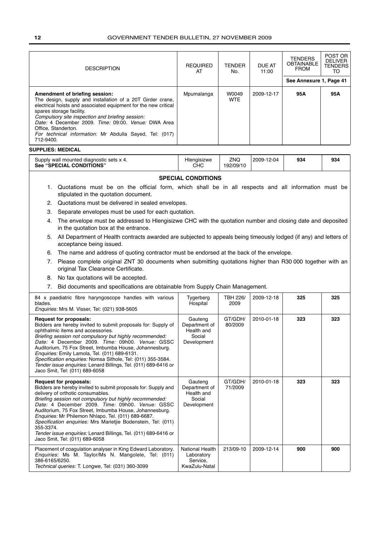| <b>DESCRIPTION</b>                                                                                                                                                                                                                                                                                                                                                                                    | <b>REQUIRED</b><br>AT | <b>TENDER</b><br>No. | DUE AT<br>11:00 | <b>TENDERS</b><br><b>OBTAINABLE</b><br><b>FROM</b> | POST OR<br><b>DELIVER</b><br><b>TENDERS</b><br>TO |  |
|-------------------------------------------------------------------------------------------------------------------------------------------------------------------------------------------------------------------------------------------------------------------------------------------------------------------------------------------------------------------------------------------------------|-----------------------|----------------------|-----------------|----------------------------------------------------|---------------------------------------------------|--|
|                                                                                                                                                                                                                                                                                                                                                                                                       |                       |                      |                 | See Annexure 1, Page 41                            |                                                   |  |
| Amendment of briefing session:<br>The design, supply and installation of a 20T Girder crane,<br>electrical hoists and associated equipment for the new critical<br>spares storage facility.<br>Compulsory site inspection and briefing session:<br>Date: 4 December 2009. Time: 09:00. Venue: DWA Area<br>Office. Standerton.<br>For technical information: Mr Abdulla Sayed, Tel: (017)<br>712-9400. | Mpumalanga            | W0049<br><b>WTE</b>  | 2009-12-17      | 95A                                                | 95A                                               |  |

#### **SUPPLIES: MEDICAL**

| Supply wall mounted diagnostic sets x 4.<br><b>See "SPECIAL CONDITIONS"</b> | Hlengisizwe<br>снс | ZNQ<br>192/09/10 | 2009-12-04 | 934 | 934 |
|-----------------------------------------------------------------------------|--------------------|------------------|------------|-----|-----|
|                                                                             |                    |                  |            |     |     |

## **SPECIAL CONDITIONS**

- 1. Quotations must be on the official form, which shall be in all respects and all information must be stipulated in the quotation document.
- 2. Quotations must be delivered in sealed envelopes.
- 3. Separate envelopes must be used for each quotation.
- 4. The envelope must be addressed to Hlengisizwe CHC with the quotation number and closing date and deposited in the quotation box at the entrance.
- 5. All Department of Health contracts awarded are subjected to appeals being timeously lodged (if any) and letters of acceptance being issued.
- 6. The name and address of quoting contractor must be endorsed at the back of the envelope.
- 7. Please complete original ZNT 30 documents when submitting quotations higher than R30 000 together with an original Tax Clearance Certificate.
- 8. No fax quotations will be accepted.
- 7. Bid documents and specifications are obtainable from Supply Chain Management.

| 84 x paediatric fibre haryngoscope handles with various<br>blades.<br>Enquiries: Mrs M. Visser, Tel: (021) 938-5605                                                                                                                                                                                                                                                                                                                                                                                                                                     | Tygerberg<br>Hospital                                           | TBH 226/<br>2009   | 2009-12-18 | 325 | 325 |
|---------------------------------------------------------------------------------------------------------------------------------------------------------------------------------------------------------------------------------------------------------------------------------------------------------------------------------------------------------------------------------------------------------------------------------------------------------------------------------------------------------------------------------------------------------|-----------------------------------------------------------------|--------------------|------------|-----|-----|
| <b>Request for proposals:</b><br>Bidders are hereby invited to submit proposals for: Supply of<br>ophthalmic items and accessories.<br>Briefing session not compulsory but highly recommended:<br>Date: 4 December 2009. Time: 09h00. Venue: GSSC<br>Auditorium, 75 Fox Street, Imbumba House, Johannesburg.<br>Enquiries: Emily Lamola, Tel. (011) 689-6131.<br>Specification enquiries: Nomsa Sithole, Tel: (011) 355-3584.<br>Tender issue enquiries: Lenard Billings, Tel. (011) 689-6416 or<br>Jaco Smit, Tel: (011) 689-6058                      | Gauteng<br>Department of<br>Health and<br>Social<br>Development | GT/GDH/<br>80/2009 | 2010-01-18 | 323 | 323 |
| <b>Request for proposals:</b><br>Bidders are hereby invited to submit proposals for: Supply and<br>delivery of orthotic consumables.<br>Briefing session not compulsory but highly recommended:<br>Date: 4 December 2009. Time: 09h00. Venue: GSSC<br>Auditorium, 75 Fox Street, Imbumba House, Johannesburg.<br>Enquiries: Mr Philemon Nhlapo, Tel. (011) 689-6687.<br>Specification enquiries: Mrs Marietjie Bodenstein, Tel: (011)<br>355-3374.<br>Tender issue enquiries: Lenard Billings, Tel. (011) 689-6416 or<br>Jaco Smit, Tel: (011) 689-6058 | Gauteng<br>Department of<br>Health and<br>Social<br>Development | GT/GDH/<br>71/2009 | 2010-01-18 | 323 | 323 |
| Placement of coagulation analyser in King Edward Laboratory.<br><i>Enquiries:</i> Ms M. Taylor/Ms N. Mangolele, Tel: (011)<br>386-6165/6250.<br>Technical queries: T. Longwe, Tel: (031) 360-3099                                                                                                                                                                                                                                                                                                                                                       | National Health<br>Laboratory<br>Service.<br>KwaZulu-Natal      | 213/09-10          | 2009-12-14 | 900 | 900 |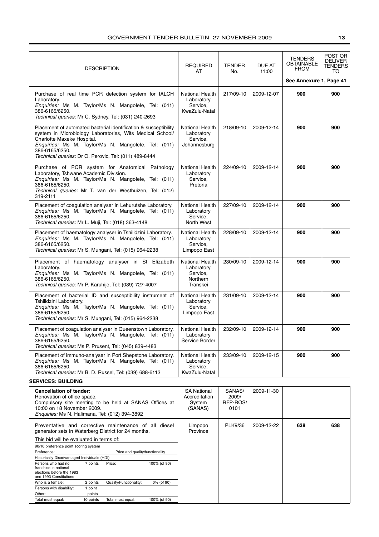| <b>DESCRIPTION</b>                                                                                                                                                                                                                                                                            | <b>REQUIRED</b><br>AT                                             | <b>TENDER</b><br>No. | <b>DUE AT</b><br>11:00 | <b>TENDERS</b><br><b>OBTAINABLE</b><br><b>FROM</b><br>See Annexure 1, Page 41 | POST OR<br><b>DELIVER</b><br><b>TENDERS</b><br><b>TO</b> |
|-----------------------------------------------------------------------------------------------------------------------------------------------------------------------------------------------------------------------------------------------------------------------------------------------|-------------------------------------------------------------------|----------------------|------------------------|-------------------------------------------------------------------------------|----------------------------------------------------------|
| Purchase of real time PCR detection system for IALCH<br>Laboratory.<br><i>Enquiries:</i> Ms M. Taylor/Ms N. Mangolele, Tel: (011)<br>386-6165/6250.<br>Technical queries: Mr C. Sydney, Tel: (031) 240-2693                                                                                   | National Health<br>Laboratory<br>Service,<br>KwaZulu-Natal        | 217/09-10            | 2009-12-07             | 900                                                                           | 900                                                      |
| Placement of automated bacterial identification & susceptibility<br>system in Microbiology Laboratories, Wits Medical School/<br>Charlotte Maxeke Hospital.<br>Enquiries: Ms M. Taylor/Ms N. Mangolele, Tel: (011)<br>386-6165/6250.<br>Technical queries: Dr O. Perovic, Tel: (011) 489-8444 | National Health<br>Laboratory<br>Service,<br>Johannesburg         | 218/09-10            | 2009-12-14             | 900                                                                           | 900                                                      |
| Purchase of PCR system for Anatomical Pathology<br>Laboratory, Tshwane Academic Division.<br>Enquiries: Ms M. Taylor/Ms N. Mangolele, Tel: (011)<br>386-6165/6250.<br>Technical queries: Mr T. van der Westhuizen, Tel: (012)<br>319-2111                                                     | National Health<br>Laboratory<br>Service.<br>Pretoria             | 224/09-10            | 2009-12-14             | 900                                                                           | 900                                                      |
| Placement of coagulation analyser in Lehurutshe Laboratory.<br>Enquiries: Ms M. Taylor/Ms N. Mangolele, Tel: (011)<br>386-6165/6250.<br>Technical queries: Mr L. Muji, Tel: (018) 363-4148                                                                                                    | National Health<br>Laboratory<br>Service,<br>North West           | 227/09-10            | 2009-12-14             | 900                                                                           | 900                                                      |
| Placement of haematology analyser in Tshilidzini Laboratory.<br><i>Enquiries:</i> Ms M. Taylor/Ms N. Mangolele, Tel: (011)<br>386-6165/6250.<br>Technical queries: Mr S. Mungani, Tel: (015) 964-2238                                                                                         | National Health<br>Laboratory<br>Service.<br>Limpopo East         | 228/09-10            | 2009-12-14             | 900                                                                           | 900                                                      |
| Placement of haematology analyser in St Elizabeth<br>Laboratory.<br>Enquiries: Ms M. Taylor/Ms N. Mangolele, Tel: (011)<br>386-6165/6250.<br>Technical queries: Mr P. Karuhije, Tel: (039) 727-4007                                                                                           | National Health<br>Laboratory<br>Service,<br>Northern<br>Transkei | 230/09-10            | 2009-12-14             | 900                                                                           | 900                                                      |
| Placement of bacterial ID and susceptibility instrument of<br>Tshilidzini Laboratory.<br>Enquiries: Ms M. Taylor/Ms N. Mangolele, Tel: (011)<br>386-6165/6250.<br>Technical queries: Mr S. Mungani, Tel: (015) 964-2238                                                                       | National Health<br>Laboratory<br>Service,<br>Limpopo East         | 231/09-10            | 2009-12-14             | 900                                                                           | 900                                                      |
| Placement of coaquiation analyser in Queenstown Laboratory.<br><i>Enquiries:</i> Ms M. Taylor/Ms N. Mangolele, Tel: (011)<br>386-6165/6250.<br>Technical queries: Ms P. Prusent, Tel: (045) 839-4483                                                                                          | National Health<br>Laboratory<br>Service Border                   | 232/09-10            | 2009-12-14             | 900                                                                           | 900                                                      |
| Placement of immuno-analyser in Port Shepstone Laboratory.<br>Enquiries: Ms M. Taylor/Ms N. Mangolele, Tel: (011)<br>386-6165/6250.<br>Technical queries: Mr B. D. Russel, Tel: (039) 688-6113<br>CEDVICEO, DUILDING                                                                          | National Health<br>Laboratory<br>Service.<br>KwaZulu-Natal        | 233/09-10            | 2009-12-15             | 900                                                                           | 900                                                      |

| Cancellation of tender:<br>Renovation of office space.<br>Compulsory site meeting to be held at SANAS Offices at<br>10:00 on 18 November 2009.<br><i>Enquiries: Ms N. Halimana, Tel: (012) 394-3892</i> |           |                                 |              | <b>SA National</b><br>Accreditation<br>System<br>(SANAS) | SANAS/<br>2009/<br>RFP-ROS/<br>0101 | 2009-11-30 |     |     |
|---------------------------------------------------------------------------------------------------------------------------------------------------------------------------------------------------------|-----------|---------------------------------|--------------|----------------------------------------------------------|-------------------------------------|------------|-----|-----|
| Preventative and corrective maintenance of all<br>generator sets in Waterberg District for 24 months.                                                                                                   |           |                                 | diesel       | Limpopo<br>Province                                      | PLK9/36                             | 2009-12-22 | 638 | 638 |
| This bid will be evaluated in terms of:                                                                                                                                                                 |           |                                 |              |                                                          |                                     |            |     |     |
| 90/10 preference point scoring system                                                                                                                                                                   |           |                                 |              |                                                          |                                     |            |     |     |
| Preference:                                                                                                                                                                                             |           | Price and quality/functionality |              |                                                          |                                     |            |     |     |
| Historically Disadvantaged Individuals (HDI)                                                                                                                                                            |           |                                 |              |                                                          |                                     |            |     |     |
| Persons who had no<br>franchise in national<br>elections before the 1983<br>and 1993 Constitutions                                                                                                      | 7 points  | Price:                          | 100% (of 90) |                                                          |                                     |            |     |     |
| Who is a female:                                                                                                                                                                                        | 2 points  | Quality/Functionality:          | 0% (of 90)   |                                                          |                                     |            |     |     |
| Persons with disability:                                                                                                                                                                                | point     |                                 |              |                                                          |                                     |            |     |     |
| Other:                                                                                                                                                                                                  | points    |                                 |              |                                                          |                                     |            |     |     |
| Total must equal:                                                                                                                                                                                       | 10 points | Total must equal:               | 100% (of 90) |                                                          |                                     |            |     |     |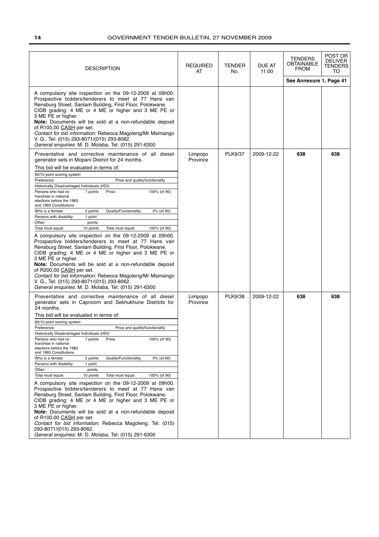| <b>DESCRIPTION</b>                                                                                                                                                                                                                                                                                                                                                                                                                                                                                                                                                                                                                                                                                                                                                                                                                                                                                                                                                                                                                                                                                                                                                      | <b>REQUIRED</b><br>AT | TENDER<br>No.  | <b>DUE AT</b><br>11:00 | TENDERS<br><b>OBTAINABLE</b><br><b>FROM</b><br>See Annexure 1, Page 41 | POST OR<br><b>DELIVER</b><br>TENDERS<br>TO |
|-------------------------------------------------------------------------------------------------------------------------------------------------------------------------------------------------------------------------------------------------------------------------------------------------------------------------------------------------------------------------------------------------------------------------------------------------------------------------------------------------------------------------------------------------------------------------------------------------------------------------------------------------------------------------------------------------------------------------------------------------------------------------------------------------------------------------------------------------------------------------------------------------------------------------------------------------------------------------------------------------------------------------------------------------------------------------------------------------------------------------------------------------------------------------|-----------------------|----------------|------------------------|------------------------------------------------------------------------|--------------------------------------------|
| A compulsory site inspection on the 09-12-2009 at 09h00.<br>Prospective bidders/tenderers to meet at 77 Hans van<br>Rensburg Street, Sanlam Building, First Floor, Polokwane.<br>CIDB grading: 4 ME or 4 ME or higher and 3 ME PE or<br>3 ME PE or higher.<br>Note: Documents will be sold at a non-refundable deposit<br>of R100,00 CASH per set.<br>Contact for bid information: Rebecca Magoleng/Mr Msimango<br>V. G., Tel: (015) 293-8071/(015) 293-8062.<br>General enquiries: M. D. Molaba, Tel: (015) 291-6300                                                                                                                                                                                                                                                                                                                                                                                                                                                                                                                                                                                                                                                   |                       |                |                        |                                                                        |                                            |
| Preventative and corrective maintenance of all diesel<br>generator sets in Mopani District for 24 months.<br>This bid will be evaluated in terms of:<br>90/10 point scoring system<br>Preference:<br>Price and quality/functionality<br>Historically Disadvantaged Individuals (HDI)<br>7 points<br>Price:<br>100% (of 90)<br>Persons who had no<br>franchise in national<br>elections before the 1983<br>and 1993 Constitutions<br>Who is a female:<br>Quality/Functionality:<br>0% (of 90)<br>2 points<br>Persons with disability:<br>1 point<br>Other:<br>points<br>Total must equal:<br>10 points<br>Total must equal:<br>100% (of 90)<br>A compulsory site inspection on the 09-12-2009 at 09h00.<br>Prospective bidders/tenderers to meet at 77 Hans van<br>Rensburg Street, Sanlam Building, First Floor, Polokwane.<br>CIDB grading: 4 ME or 4 ME or higher and 3 ME PE or<br>3 ME PE or higher.<br>Note: Documents will be sold at a non-refundable deposit<br>of R200,00 CASH per set.<br>Contact for bid information: Rebecca Magoleng/Mr Msimango<br>V. G., Tel: (015) 293-8071/(015) 293-8062.<br>General enquiries: M. D. Molaba, Tel: (015) 291-6300     | Limpopo<br>Province   | <b>PLK9/37</b> | 2009-12-22             | 638                                                                    | 638                                        |
| Preventative and corrective maintenance of all diesel<br>generator sets in Capricorn and Sekhukhune Districts for<br>24 months.<br>This bid will be evaluated in terms of:<br>90/10 point scoring system<br>Preference:<br>Price and quality/functionality<br>Historically Disadvantaged Individuals (HDI)<br>Persons who had no<br>7 points<br>Price:<br>100% (of 90)<br>franchise in national<br>elections before the 1983<br>and 1993 Constitutions<br>Quality/Functionality:<br>Who is a female:<br>2 points<br>0% (of 90)<br>Persons with disability:<br>1 point<br>Other:<br>points<br>Total must equal:<br>10 points<br>Total must equal:<br>100% (of 90)<br>A compulsory site inspection on the 09-12-2009 at 09h00.<br>Prospective bidders/tenderers to meet at 77 Hans van<br>Rensburg Street, Sanlam Building, First Floor, Polokwane.<br>CIDB grading: 4 ME or 4 ME or higher and 3 ME PE or<br>3 ME PE or higher.<br>Note: Documents will be sold at a non-refundable deposit<br>of R100,00 CASH per set.<br>Contact for bid information: Rebecca Magoleng, Tel: (015)<br>293-8071/(015) 293-8062.<br>General enquiries: M. D. Molaba, Tel: (015) 291-6300 | Limpopo<br>Province   | <b>PLK9/38</b> | 2009-12-22             | 638                                                                    | 638                                        |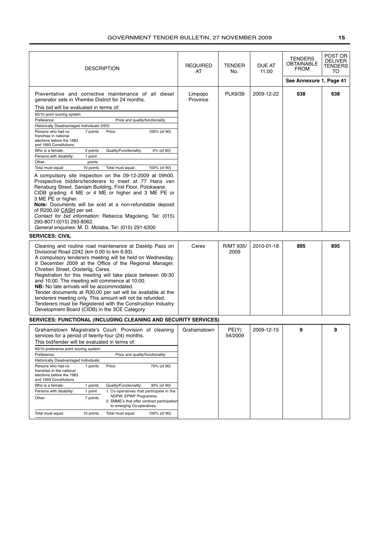| <b>DESCRIPTION</b>                                                                                                                                                                                                                                                                                                                                                                                                                                                                                                                                                                                                                                                            | <b>REQUIRED</b><br>AT | <b>TENDER</b><br>No. | DUE AT<br>11:00 | <b>TENDERS</b><br>OBTAINABLE<br><b>FROM</b> | POST OR<br><b>DELIVER</b><br>TENDERS<br>то |
|-------------------------------------------------------------------------------------------------------------------------------------------------------------------------------------------------------------------------------------------------------------------------------------------------------------------------------------------------------------------------------------------------------------------------------------------------------------------------------------------------------------------------------------------------------------------------------------------------------------------------------------------------------------------------------|-----------------------|----------------------|-----------------|---------------------------------------------|--------------------------------------------|
|                                                                                                                                                                                                                                                                                                                                                                                                                                                                                                                                                                                                                                                                               |                       |                      |                 | See Annexure 1, Page 41                     |                                            |
| Preventative and corrective maintenance of all diesel<br>generator sets in Vhembe District for 24 months.                                                                                                                                                                                                                                                                                                                                                                                                                                                                                                                                                                     | Limpopo<br>Province   | PLK9/39              | 2009-12-22      | 638                                         | 638                                        |
| This bid will be evaluated in terms of:<br>90/10 point scoring system                                                                                                                                                                                                                                                                                                                                                                                                                                                                                                                                                                                                         |                       |                      |                 |                                             |                                            |
| Price and quality/functionality<br>Preference:                                                                                                                                                                                                                                                                                                                                                                                                                                                                                                                                                                                                                                |                       |                      |                 |                                             |                                            |
| Historically Disadvantaged Individuals (HDI)<br>7 points<br>Price:<br>100% (of 90)<br>Persons who had no<br>franchise in national<br>elections before the 1983<br>and 1993 Constitutions                                                                                                                                                                                                                                                                                                                                                                                                                                                                                      |                       |                      |                 |                                             |                                            |
| Quality/Functionality:<br>Who is a female:<br>2 points<br>0% (of 90)                                                                                                                                                                                                                                                                                                                                                                                                                                                                                                                                                                                                          |                       |                      |                 |                                             |                                            |
| Persons with disability:<br>1 point<br>Other:<br>points                                                                                                                                                                                                                                                                                                                                                                                                                                                                                                                                                                                                                       |                       |                      |                 |                                             |                                            |
| Total must equal:<br>10 points<br>Total must equal:<br>100% (of 90)                                                                                                                                                                                                                                                                                                                                                                                                                                                                                                                                                                                                           |                       |                      |                 |                                             |                                            |
| A compulsory site inspection on the 09-12-2009 at 09h00.<br>Prospective bidders/tenderers to meet at 77 Hans van<br>Rensburg Street, Sanlam Building, First Floor, Polokwane.<br>CIDB grading: 4 ME or 4 ME or higher and 3 ME PE or<br>3 ME PE or higher.<br>Note: Documents will be sold at a non-refundable deposit<br>of R200,00 CASH per set.<br>Contact for bid information: Rebecca Magoleng, Tel: (015)<br>293-8071/(015) 293-8062.<br>General enquiries: M. D. Molaba, Tel: (015) 291-6300                                                                                                                                                                           |                       |                      |                 |                                             |                                            |
| <b>SERVICES: CIVIL</b>                                                                                                                                                                                                                                                                                                                                                                                                                                                                                                                                                                                                                                                        |                       |                      |                 |                                             |                                            |
| Cleaning and routine road maintenance at Dasklip Pass on<br>Divisional Road 2242 (km 0.00 to km 6.93).<br>A compulsory tenderers meeting will be held on Wednesday,<br>9 December 2009 at the Office of the Regional Manager,<br>Chretien Street, Oosterlig, Ceres.<br>Registration for this meeting will take place between 09:30<br>and 10:00. The meeting will commence at 10:00.<br>NB: No late arrivals will be accommodated.<br>Tender documents at R30,00 per set will be available at the<br>tenderers meeting only. This amount will not be refunded.<br>Tenderers must be Registered with the Construction Industry<br>Development Board (CIDB) in the 3CE Category | Ceres                 | R/MT 935/<br>2009    | 2010-01-18      | 895                                         | 895                                        |
| <b>SERVICES: FUNCTIONAL (INCLUDING CLEANING AND SECURITY SERVICES)</b>                                                                                                                                                                                                                                                                                                                                                                                                                                                                                                                                                                                                        |                       |                      |                 |                                             |                                            |
| Grahamstown Magistrate's Court: Provision of cleaning<br>services for a period of twenty-four (24) months.<br>This bid/tender will be evaluated in terms of:<br>90/10 preference point scoring system:<br>Preference:<br>Price and quality/functionality:<br>Historically Disadvantaged Individuals:<br>Persons who had no<br>Price:<br>70% (of 90)<br>1 points<br>franchise in the national<br>elections before the 1983<br>and 1993 Constitutions<br>Who is a female:<br>1 points<br>Quality/Functionality:<br>30% (of 90)                                                                                                                                                  | Grahamstown           | PE(Y)<br>54/2009     | 2009-12-15      | 9                                           | 9                                          |
| Persons with disability:<br>1 point<br>1. Co-operatives that participate in the                                                                                                                                                                                                                                                                                                                                                                                                                                                                                                                                                                                               |                       |                      |                 |                                             |                                            |
| NDPW, EPWP Programme.<br>7 points<br>Other:<br>2. SMME's that offer contract participation<br>to emerging Co-operatives.                                                                                                                                                                                                                                                                                                                                                                                                                                                                                                                                                      |                       |                      |                 |                                             |                                            |
| Total must equal:<br>100% (of 90)<br>Total must equal:<br>10 points                                                                                                                                                                                                                                                                                                                                                                                                                                                                                                                                                                                                           |                       |                      |                 |                                             |                                            |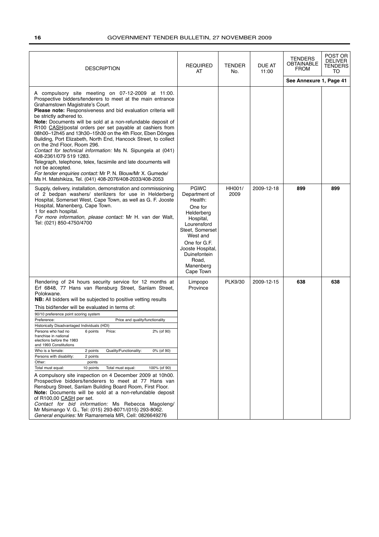| <b>DESCRIPTION</b>                                                                                                                                                                                                                                                                                                                                                                                                                                                                                                                                                                                                                                                                                                                                                                                                                                                                                                                                                                                                                                                                                                                                                                                  | <b>REQUIRED</b><br>AT                                                                                                                                                                                              | <b>TENDER</b><br>No. | <b>DUE AT</b><br>11:00 | TENDERS<br><b>OBTAINABLE</b><br><b>FROM</b><br>See Annexure 1, Page 41 | POST OR<br><b>DELIVER</b><br><b>TENDERS</b><br>TO |
|-----------------------------------------------------------------------------------------------------------------------------------------------------------------------------------------------------------------------------------------------------------------------------------------------------------------------------------------------------------------------------------------------------------------------------------------------------------------------------------------------------------------------------------------------------------------------------------------------------------------------------------------------------------------------------------------------------------------------------------------------------------------------------------------------------------------------------------------------------------------------------------------------------------------------------------------------------------------------------------------------------------------------------------------------------------------------------------------------------------------------------------------------------------------------------------------------------|--------------------------------------------------------------------------------------------------------------------------------------------------------------------------------------------------------------------|----------------------|------------------------|------------------------------------------------------------------------|---------------------------------------------------|
| A compulsory site meeting on 07-12-2009 at 11:00.<br>Prospective bidders/tenderers to meet at the main entrance<br>Grahamstown Magistrate's Court.<br>Please note: Responsiveness and bid evaluation criteria will<br>be strictly adhered to.<br>Note: Documents will be sold at a non-refundable deposit of<br>R100 CASH/postal orders per set payable at cashiers from<br>08h00-12h45 and 13h30-15h30 on the 4th Floor, Eben Dönges<br>Building, Port Elizabeth, North End, Hancock Street, to collect<br>on the 2nd Floor, Room 296.<br>Contact for technical information: Ms N. Sipungela at (041)<br>408-2361/079 519 1283.<br>Telegraph, telephone, telex, facsimile and late documents will<br>not be accepted.<br>For tender enquiries contact: Mr P. N. Blouw/Mr X. Gumede/<br>Ms H. Matshikiza, Tel. (041) 408-2076/408-2033/408-2053                                                                                                                                                                                                                                                                                                                                                     |                                                                                                                                                                                                                    |                      |                        |                                                                        |                                                   |
| Supply, delivery, installation, demonstration and commissioning<br>of 2 bedpan washers/ sterilizers for use in Helderberg<br>Hospital, Somerset West, Cape Town, as well as G. F. Jooste<br>Hospital, Manenberg, Cape Town.<br>1 for each hospital.<br>For more information, please contact: Mr H. van der Walt,<br>Tel: (021) 850-4750/4700                                                                                                                                                                                                                                                                                                                                                                                                                                                                                                                                                                                                                                                                                                                                                                                                                                                        | <b>PGWC</b><br>Department of<br>Health:<br>One for<br>Helderberg<br>Hospital,<br>Lourensford<br>Steet, Somerset<br>West and<br>One for G.F.<br>Jooste Hospital,<br>Duinefontein<br>Road,<br>Manenberg<br>Cape Town | HH001/<br>2009       | 2009-12-18             | 899                                                                    | 899                                               |
| Rendering of 24 hours security service for 12 months at<br>Erf 6848, 77 Hans van Rensburg Street, Sanlam Street,<br>Polokwane.<br>NB: All bidders will be subjected to positive vetting results<br>This bid/tender will be evaluated in terms of:<br>90/10 preference point scoring system<br>Preference:<br>Price and quality/functionality<br>Historically Disadvantaged Individuals (HDI)<br>Persons who had no<br>6 points<br>2% (of 90)<br>Price:<br>franchise in national<br>elections before the 1983<br>and 1993 Constitutions<br>Who is a female:<br>Quality/Functionality:<br>0% (of 90)<br>2 points<br>Persons with disability:<br>2 points<br>Other:<br>points<br>Total must equal:<br>10 points<br>Total must equal:<br>100% (of 90)<br>A compulsory site inspection on 4 December 2009 at 10h00.<br>Prospective bidders/tenderers to meet at 77 Hans van<br>Rensburg Street, Sanlam Building Board Room, First Floor.<br>Note: Documents will be sold at a non-refundable deposit<br>of R100,00 CASH per set.<br>Contact for bid information: Ms Rebecca Magoleng/<br>Mr Msimango V. G., Tel: (015) 293-8071/(015) 293-8062.<br>General enquiries: Mr Ramaremela MR, Cell: 0826649276 | Limpopo<br>Province                                                                                                                                                                                                | PLK9/30              | 2009-12-15             | 638                                                                    | 638                                               |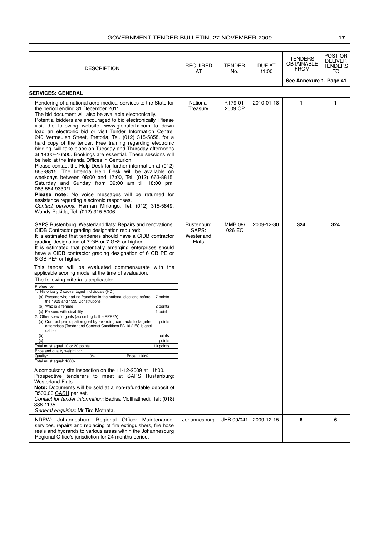| <b>DESCRIPTION</b>                                                                                                                                                                                                                                                                                                                                                                                                                                                                                                                                                                                                                                                                                                                                                                                                                                                                                                                                                                                                                                                                                                                                                                                                                                                                                                                                                                                                                                                                                                                                               | <b>REQUIRED</b><br>AT                      | <b>TENDER</b><br>No.     | DUE AT<br>11:00 | <b>TENDERS</b><br>OBTAINABLE<br><b>FROM</b> | POST OR<br><b>DELIVER</b><br>TENDERS<br>то |
|------------------------------------------------------------------------------------------------------------------------------------------------------------------------------------------------------------------------------------------------------------------------------------------------------------------------------------------------------------------------------------------------------------------------------------------------------------------------------------------------------------------------------------------------------------------------------------------------------------------------------------------------------------------------------------------------------------------------------------------------------------------------------------------------------------------------------------------------------------------------------------------------------------------------------------------------------------------------------------------------------------------------------------------------------------------------------------------------------------------------------------------------------------------------------------------------------------------------------------------------------------------------------------------------------------------------------------------------------------------------------------------------------------------------------------------------------------------------------------------------------------------------------------------------------------------|--------------------------------------------|--------------------------|-----------------|---------------------------------------------|--------------------------------------------|
|                                                                                                                                                                                                                                                                                                                                                                                                                                                                                                                                                                                                                                                                                                                                                                                                                                                                                                                                                                                                                                                                                                                                                                                                                                                                                                                                                                                                                                                                                                                                                                  |                                            |                          |                 | See Annexure 1, Page 41                     |                                            |
| <b>SERVICES: GENERAL</b>                                                                                                                                                                                                                                                                                                                                                                                                                                                                                                                                                                                                                                                                                                                                                                                                                                                                                                                                                                                                                                                                                                                                                                                                                                                                                                                                                                                                                                                                                                                                         |                                            |                          |                 |                                             |                                            |
| Rendering of a national aero-medical services to the State for<br>the period ending 31 December 2011.<br>The bid document will also be available electronically.<br>Potential bidders are encouraged to bid electronically. Please<br>visit the following website: www.globalerfx.com to down<br>load an electronic bid or visit Tender Information Centre,<br>240 Vermeulen Street, Pretoria, Tel. (012) 315-5858, for a<br>hard copy of the tender. Free training regarding electronic<br>bidding, will take place on Tuesday and Thursday afternoons<br>at 14:00-16h00. Bookings are essential. These sessions will<br>be held at the Intenda Offices in Centurion.<br>Please contact the Help Desk for further information at (012)<br>663-8815. The Intenda Help Desk will be available on<br>weekdays between 08:00 and 17:00, Tel. (012) 663-8815,<br>Saturday and Sunday from 09:00 am till 18:00 pm,<br>083 554 9330/1.<br>Please note: No voice messages will be returned for<br>assistance regarding electronic responses.<br>Contact persons: Herman Mhlongo, Tel: (012) 315-5849.<br>Wandy Rakitla, Tel: (012) 315-5006                                                                                                                                                                                                                                                                                                                                                                                                                             | National<br>Treasury                       | RT79-01-<br>2009 CP      | 2010-01-18      | 1                                           | 1                                          |
| SAPS Rustenburg: Westerland flats: Repairs and renovations.<br>CIDB Contractor grading designation required:<br>It is estimated that tenderers should have a CIDB contractor<br>grading designation of 7 GB or 7 GB* or higher.<br>It is estimated that potentially emerging enterprises should<br>have a CIDB contractor grading designation of 6 GB PE or<br>6 GB PE* or higher.<br>This tender will be evaluated commensurate with the<br>applicable scoring model at the time of evaluation.<br>The following criteria is applicable:<br>Preference:<br>1. Historically Disadvantaged Individuals (HDI)<br>(a) Persons who had no franchise in the national elections before<br>7 points<br>the 1983 and 1993 Constitutions<br>(b) Who is a female<br>2 points<br>(c) Persons with disability<br>1 point<br>2. Other specific goals (according to the PPPFA)<br>(a) Contract participation goal by awarding contracts to targeted<br>points<br>enterprises (Tender and Contract Conditions PA-16.2 EC is appli-<br>cable)<br>(b)<br>points<br>points<br>(c)<br>Total must equal 10 or 20 points<br>10 points<br>Price and quality weighting:<br>Quality:<br>0%<br>Price: 100%<br>Total must equal: 100%<br>A compulsory site inspection on the 11-12-2009 at 11h00.<br>Prospective tenderers to meet at SAPS Rustenburg:<br>Westerland Flats.<br>Note: Documents will be sold at a non-refundable deposit of<br>R500,00 CASH per set.<br>Contact for tender information: Badisa Motlhatlhedi, Tel: (018)<br>386-1135.<br>General enquiries: Mr Tiro Mothata. | Rustenburg<br>SAPS:<br>Westerland<br>Flats | <b>MMB 09/</b><br>026 EC | 2009-12-30      | 324                                         | 324                                        |
| NDPW: Johannesburg Regional Office: Maintenance,<br>services, repairs and replacing of fire extinguishers, fire hose<br>reels and hydrands to various areas within the Johannesburg<br>Regional Office's jurisdiction for 24 months period.                                                                                                                                                                                                                                                                                                                                                                                                                                                                                                                                                                                                                                                                                                                                                                                                                                                                                                                                                                                                                                                                                                                                                                                                                                                                                                                      | Johannesburg                               | JHB.09/041               | 2009-12-15      | 6                                           | 6                                          |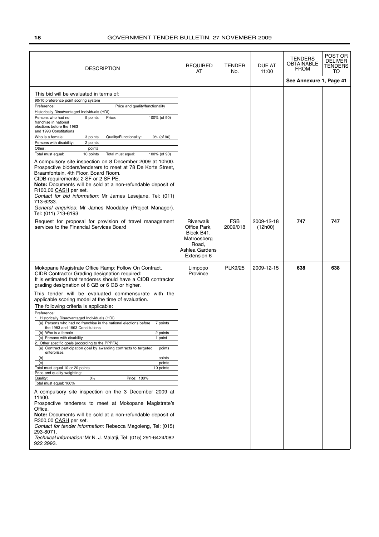| <b>DESCRIPTION</b>                                                                                                                                                                                                                                                                                                                                                                                                                                                                                                                                                                                                                                                                                                                                                                                                                                                                                                                                                                                                                                                                                                                                                                                                                                                                                                                                                                  | <b>REQUIRED</b><br>AT                                                                                   | <b>TENDER</b><br>No.   | DUE AT<br>11:00       | TENDERS<br><b>OBTAINABLE</b><br><b>FROM</b> | POST OR<br><b>DELIVER</b><br><b>TENDERS</b><br>TO |
|-------------------------------------------------------------------------------------------------------------------------------------------------------------------------------------------------------------------------------------------------------------------------------------------------------------------------------------------------------------------------------------------------------------------------------------------------------------------------------------------------------------------------------------------------------------------------------------------------------------------------------------------------------------------------------------------------------------------------------------------------------------------------------------------------------------------------------------------------------------------------------------------------------------------------------------------------------------------------------------------------------------------------------------------------------------------------------------------------------------------------------------------------------------------------------------------------------------------------------------------------------------------------------------------------------------------------------------------------------------------------------------|---------------------------------------------------------------------------------------------------------|------------------------|-----------------------|---------------------------------------------|---------------------------------------------------|
|                                                                                                                                                                                                                                                                                                                                                                                                                                                                                                                                                                                                                                                                                                                                                                                                                                                                                                                                                                                                                                                                                                                                                                                                                                                                                                                                                                                     |                                                                                                         |                        |                       | See Annexure 1, Page 41                     |                                                   |
| This bid will be evaluated in terms of:<br>90/10 preference point scoring system<br>Preference:<br>Price and quality/functionality<br>Historically Disadvantaged Individuals (HDI)<br>Persons who had no<br>Price:<br>100% (of 90)<br>5 points<br>franchise in national<br>elections before the 1983<br>and 1993 Constitutions<br>Who is a female:<br>Quality/Functionality:<br>3 points<br>0% (of 90)<br>Persons with disability:<br>2 points<br>Other:<br>points<br>Total must equal:<br>10 points<br>100% (of 90)<br>Total must equal:<br>A compulsory site inspection on 8 December 2009 at 10h00.<br>Prospective bidders/tenderers to meet at 78 De Korte Street,<br>Braamfontein, 4th Floor, Board Room.<br>CIDB-requirements: 2 SF or 2 SF PE.<br>Note: Documents will be sold at a non-refundable deposit of<br>R100,00 CASH per set.<br>Contact for bid information: Mr James Lesejane, Tel: (011)<br>713-6233.<br>General enquiries: Mr James Moodaley (Project Manager).                                                                                                                                                                                                                                                                                                                                                                                                 |                                                                                                         |                        |                       |                                             |                                                   |
| Tel: (011) 713-6193                                                                                                                                                                                                                                                                                                                                                                                                                                                                                                                                                                                                                                                                                                                                                                                                                                                                                                                                                                                                                                                                                                                                                                                                                                                                                                                                                                 |                                                                                                         |                        |                       |                                             |                                                   |
| Request for proposal for provision of travel management<br>services to the Financial Services Board                                                                                                                                                                                                                                                                                                                                                                                                                                                                                                                                                                                                                                                                                                                                                                                                                                                                                                                                                                                                                                                                                                                                                                                                                                                                                 | <b>Riverwalk</b><br>Office Park,<br>Block B41,<br>Matroosberg<br>Road,<br>Ashlea Gardens<br>Extension 6 | <b>FSB</b><br>2009/018 | 2009-12-18<br>(12h00) | 747                                         | 747                                               |
| Mokopane Magistrate Office Ramp: Follow On Contract.<br>CIDB Contractor Grading designation required:<br>It is estimated that tenderers should have a CIDB contractor<br>grading designation of 6 GB or 6 GB or higher.<br>This tender will be evaluated commensurate with the<br>applicable scoring model at the time of evaluation.<br>The following criteria is applicable:<br>Preference:<br>1. Historically Disadvantaged Individuals (HDI)<br>(a) Persons who had no franchise in the national elections before<br>7 points<br>the 1983 and 1993 Constitutions<br>(b) Who is a female<br>2 points<br>(c) Persons with disability<br>1 point<br>2. Other specific goals (according to the PPPFA)<br>(a) Contract participation goal by awarding contracts to targeted<br>points<br>enterprises<br>(b)<br>points<br>points<br>(c)<br>Total must equal 10 or 20 points<br>10 points<br>Price and quality weighting:<br>Quality:<br>Price: 100%<br>$0\%$<br>Total must equal: 100%<br>A compulsory site inspection on the 3 December 2009 at<br>11h00.<br>Prospective tenderers to meet at Mokopane Magistrate's<br>Office.<br>Note: Documents will be sold at a non-refundable deposit of<br>R300,00 CASH per set.<br>Contact for tender information: Rebecca Magoleng, Tel: (015)<br>293-8071.<br>Technical information: Mr N. J. Malatji, Tel: (015) 291-6424/082<br>922 2993. | Limpopo<br>Province                                                                                     | <b>PLK9/25</b>         | 2009-12-15            | 638                                         | 638                                               |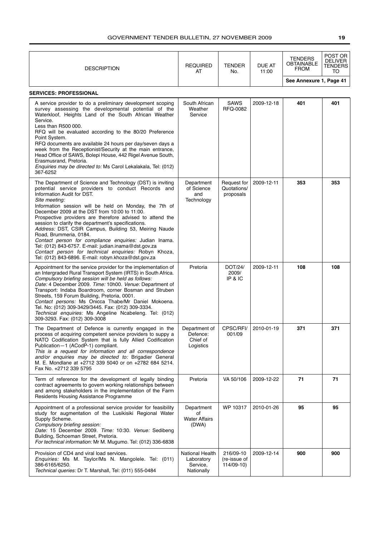| <b>DESCRIPTION</b>                                                                                                                                                                                                                                                                                                                                                                                                                                                                                                                                                                                                                                                                                                 | <b>REQUIRED</b><br>AT                                   | TENDER<br>No.                           | DUE AT<br>11:00 | <b>TENDERS</b><br>OBTAINABLE<br><b>FROM</b> | POST OR<br><b>DELIVER</b><br>TENDERS<br>TO |
|--------------------------------------------------------------------------------------------------------------------------------------------------------------------------------------------------------------------------------------------------------------------------------------------------------------------------------------------------------------------------------------------------------------------------------------------------------------------------------------------------------------------------------------------------------------------------------------------------------------------------------------------------------------------------------------------------------------------|---------------------------------------------------------|-----------------------------------------|-----------------|---------------------------------------------|--------------------------------------------|
|                                                                                                                                                                                                                                                                                                                                                                                                                                                                                                                                                                                                                                                                                                                    |                                                         |                                         |                 | See Annexure 1, Page 41                     |                                            |
| <b>SERVICES: PROFESSIONAL</b>                                                                                                                                                                                                                                                                                                                                                                                                                                                                                                                                                                                                                                                                                      |                                                         |                                         |                 |                                             |                                            |
| A service provider to do a preliminary development scoping<br>survey assessing the developmental potential of the<br>Waterkloof, Heights Land of the South African Weather<br>Service.<br>Less than R500 000.<br>RFQ will be evaluated according to the 80/20 Preference<br>Point System.<br>RFQ documents are available 24 hours per day/seven days a<br>week from the Receptionist/Security at the main entrance,<br>Head Office of SAWS, Bolepi House, 442 Rigel Avenue South,                                                                                                                                                                                                                                  | South African<br>Weather<br>Service                     | SAWS<br>RFQ-0082                        | 2009-12-18      | 401                                         | 401                                        |
| Erasmusrand, Pretoria.<br>Enquiries may be directed to: Ms Carol Lekalakala, Tel: (012)<br>367-6252                                                                                                                                                                                                                                                                                                                                                                                                                                                                                                                                                                                                                |                                                         |                                         |                 |                                             |                                            |
| The Department of Science and Technology (DST) is inviting<br>potential service providers to conduct Records and<br>Information Audit for DST.<br>Site meeting:<br>Information session will be held on Monday, the 7th of<br>December 2009 at the DST from 10:00 to 11:00.<br>Prospective providers are therefore advised to attend the<br>session to clarify the department's specifications.<br>Address: DST, CSIR Campus, Building 53, Meiring Naude<br>Road, Brummeria, 0184.<br>Contact person for compliance enquiries: Judian Inama.<br>Tel: (012) 843-6757. E-mail: judian.inama@dst.gov.za<br>Contact person for technical enquiries: Robyn Khoza,<br>Tel: (012) 843-6896. E-mail: robyn.khoza@dst.gov.za | Department<br>of Science<br>and<br>Technology           | Request for<br>Quotations/<br>proposals | 2009-12-11      | 353                                         | 353                                        |
| Appointment for the service provider for the implementation of<br>an Intergraded Rural Transport System (IRTS) in South Africa.<br>Compulsory briefing session will be held as follows:<br>Date: 4 December 2009. Time: 10h00. Venue: Department of<br>Transport: Indaba Boardroom, corner Bosman and Struben<br>Streets, 159 Forum Building, Pretoria, 0001.<br>Contact persons: Ms Onicca Thabe/Mr Daniel Mokoena.<br>Tel. No: (012) 309-3429/3445. Fax: (012) 309-3334.<br>Technical enquiries: Ms Angeline Ncabeleng. Tel: (012)<br>309-3293. Fax: (012) 309-3008                                                                                                                                              | Pretoria                                                | DOT/24/<br>2009/<br>IP & IC             | 2009-12-11      | 108                                         | 108                                        |
| The Department of Defence is currently engaged in the<br>process of acquiring competent service providers to suppy a<br>NATO Codification System that is fully Allied Codification<br>Publication-1 (ACodP-1) compliant.<br>This is a request for information and all correspondence<br>and/or enquiries may be directed to: Brigadier General<br>M. E. Mondlane at +2712 339 5040 or on +2782 684 5214.<br>Fax No. +2712 339 5795                                                                                                                                                                                                                                                                                 | Department of<br>Defence:<br>Chief of<br>Logistics      | CPSC/RFI/<br>001/09                     | 2010-01-19      | 371                                         | 371                                        |
| Term of reference for the development of legally binding<br>contract agreements to govern working relationships between<br>and among stakeholders in the implementation of the Farm<br>Residents Housing Assistance Programme                                                                                                                                                                                                                                                                                                                                                                                                                                                                                      | Pretoria                                                | VA 50/106                               | 2009-12-22      | 71                                          | 71                                         |
| Appointment of a professional service provider for feasibility<br>study for augmentation of the Lusikisiki Regional Water<br>Supply Scheme.<br>Compulsory briefing session:<br>Date: 15 December 2009. Time: 10:30. Venue: Sedibeng<br>Building, Schoeman Street, Pretoria.<br>For technical information: Mr M. Mugumo. Tel: (012) 336-6838                                                                                                                                                                                                                                                                                                                                                                        | Department<br>of<br><b>Water Affairs</b><br>(DWA)       | WP 10317                                | 2010-01-26      | 95                                          | 95                                         |
| Provision of CD4 and viral load services.<br>Enquiries: Ms M. Taylor/Ms N. Mangolele. Tel: (011)<br>386-6165/6250.<br>Technical queries: Dr T. Marshall, Tel: (011) 555-0484                                                                                                                                                                                                                                                                                                                                                                                                                                                                                                                                       | National Health<br>Laboratory<br>Service,<br>Nationally | 216/09-10<br>(re-issue of<br>114/09-10) | 2009-12-14      | 900                                         | 900                                        |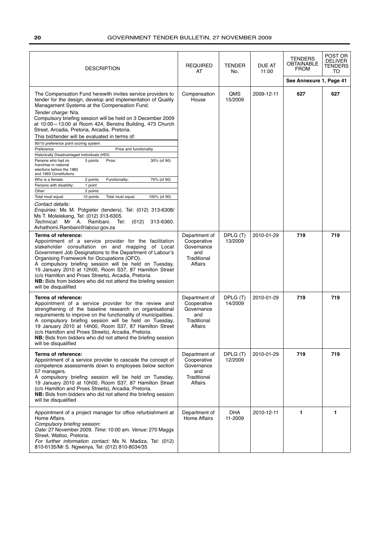| <b>DESCRIPTION</b>                                                                                                                                                                                                                                                                                                                                                                                                                                                                                                                                                                                                                                                                                                                                                                                                                                                                                                                                                                                                                                                                                      | <b>REQUIRED</b><br>AT                                                              | <b>TENDER</b><br>No. | <b>DUE AT</b><br>11:00 | TENDERS<br><b>OBTAINABLE</b><br><b>FROM</b> | POST OR<br>DELIVER<br><b>TENDERS</b><br>TO |
|---------------------------------------------------------------------------------------------------------------------------------------------------------------------------------------------------------------------------------------------------------------------------------------------------------------------------------------------------------------------------------------------------------------------------------------------------------------------------------------------------------------------------------------------------------------------------------------------------------------------------------------------------------------------------------------------------------------------------------------------------------------------------------------------------------------------------------------------------------------------------------------------------------------------------------------------------------------------------------------------------------------------------------------------------------------------------------------------------------|------------------------------------------------------------------------------------|----------------------|------------------------|---------------------------------------------|--------------------------------------------|
|                                                                                                                                                                                                                                                                                                                                                                                                                                                                                                                                                                                                                                                                                                                                                                                                                                                                                                                                                                                                                                                                                                         |                                                                                    |                      |                        | See Annexure 1, Page 41                     |                                            |
| The Compensation Fund herewith invites service providers to<br>tender for the design, develop and implementation of Quality<br>Management Systems at the Compensation Fund.<br>Tender charge: N/a.<br>Compulsory briefing session will be held on 3 December 2009<br>at 10:00-13:00 at Room 424, Benstra Building, 473 Church<br>Street, Arcadia, Pretoria, Arcadia, Pretoria.<br>This bid/tender will be evaluated in terms of:<br>90/10 preference point scoring system<br>Price and functionality<br>Preference:<br>Historically Disadvantaged Individuals (HDI)<br>5 points<br>Price:<br>30% (of 90)<br>Persons who had no<br>franchise in national<br>elections before the 1983<br>and 1993 Constitutions<br>70% (of 90)<br>Who is a female:<br>2 points<br>Functionality:<br>Persons with disability:<br>1 point<br>Other:<br>2 points<br>Total must equal:<br>10 points<br>Total must equal:<br>100% (of 90)<br>Contact details:<br>Enquiries: Ms M. Potgieter (tenders). Tel: (012) 313-6308/<br>Ms T. Molelekeng, Tel: (012) 313-6305.<br>Technical: Mr A. Rambani. Tel:<br>(012)<br>313-6360. | Compensation<br>House                                                              | QMS<br>15/2009       | 2009-12-11             | 627                                         | 627                                        |
| Avhathomi.Rambani@labour.gov.za<br>Terms of reference:<br>Appointment of a service provider for the facilitation<br>stakeholder consultation on and mapping of Local<br>Government Job Designations to the Department of Labour's<br>Organising Framework for Occupations (OFO).<br>A compulsory briefing session will be held on Tuesday,<br>19 January 2010 at 12h00, Room S37, 87 Hamilton Street<br>(c/o Hamilton and Proes Streets), Arcadia, Pretoria.<br>NB: Bids from bidders who did not attend the briefing session<br>will be disqualified                                                                                                                                                                                                                                                                                                                                                                                                                                                                                                                                                   | Department of<br>Cooperative<br>Governance<br>and<br>Traditional<br>Affairs        | DPLG (T)<br>13/2009  | 2010-01-29             | 719                                         | 719                                        |
| Terms of reference:<br>Appointment of a service provider for the review and<br>strengthening of the baseline research on organisational<br>requirements to improve on the functionality of municipalities.<br>A compulsory briefing session will be held on Tuesday,<br>19 January 2010 at 14h00, Room S37, 87 Hamilton Street<br>(c/o Hamilton and Proes Streets), Arcadia, Pretoria.<br>NB: Bids from bidders who did not attend the briefing session<br>will be disqualified                                                                                                                                                                                                                                                                                                                                                                                                                                                                                                                                                                                                                         | Department of<br>Cooperative<br>Governance<br>and<br>Traditional<br>Affairs        | DPLG (T)<br>14/2009  | 2010-01-29             | 719                                         | 719                                        |
| Terms of reference:<br>Appointment of a service provider to cascade the concept of<br>competence assessments down to employees below section<br>57 managers.<br>A compulsory briefing session will be held on Tuesday,<br>19 January 2010 at 10h00, Room S37, 87 Hamilton Street<br>(c/o Hamilton and Proes Streets), Arcadia, Pretoria.<br>NB: Bids from bidders who did not attend the briefing session<br>will be disqualified                                                                                                                                                                                                                                                                                                                                                                                                                                                                                                                                                                                                                                                                       | Department of<br>Cooperative<br>Governance<br>and<br>Traditional<br><b>Affairs</b> | DPLG (T)<br>12/2009  | 2010-01-29             | 719                                         | 719                                        |
| Appointment of a project manager for office refurbishment at<br>Home Affairs.<br>Compulsory briefing session:<br>Date: 27 November 2009. Time: 10:00 am. Venue: 270 Maggs<br>Street, Watloo, Pretoria.<br>For further information contact: Ms N. Madiza, Tel: (012)<br>810-6135/Mr S. Ngwenya, Tel: (012) 810-8034/35                                                                                                                                                                                                                                                                                                                                                                                                                                                                                                                                                                                                                                                                                                                                                                                   | Department of<br><b>Home Affairs</b>                                               | DHA<br>11-2009       | 2010-12-11             | 1                                           | 1                                          |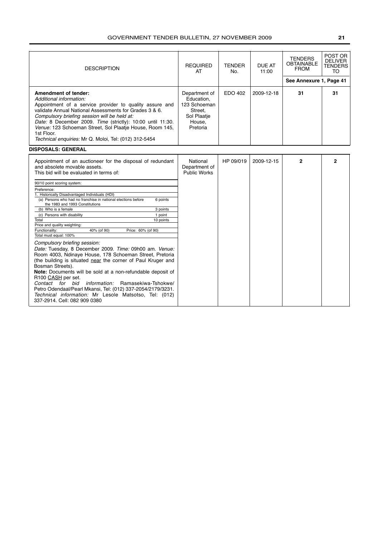| <b>DESCRIPTION</b>                                                                                                                                                                                                                                                                                                                                                                                                                                                                                                                               | <b>REQUIRED</b><br>AT                                                                       | <b>TENDER</b><br>No. | <b>DUE AT</b><br>11:00 | <b>TENDERS</b><br><b>OBTAINABLE</b><br><b>FROM</b><br>See Annexure 1, Page 41 | POST OR<br><b>DELIVER</b><br><b>TENDERS</b><br>TO |
|--------------------------------------------------------------------------------------------------------------------------------------------------------------------------------------------------------------------------------------------------------------------------------------------------------------------------------------------------------------------------------------------------------------------------------------------------------------------------------------------------------------------------------------------------|---------------------------------------------------------------------------------------------|----------------------|------------------------|-------------------------------------------------------------------------------|---------------------------------------------------|
| Amendment of tender:<br>Additional information:<br>Appointment of a service provider to quality assure and<br>validate Annual National Assessments for Grades 3 & 6.<br>Compulsory briefing session will be held at:<br>Date: 8 December 2009. Time (strictly): 10:00 until 11:30.<br>Venue: 123 Schoeman Street, Sol Plaatje House, Room 145,<br>1st Floor.<br>Technical enquiries: Mr Q. Moloi, Tel: (012) 312-5454                                                                                                                            | Department of<br>Education,<br>123 Schoeman<br>Street.<br>Sol Plaatie<br>House,<br>Pretoria | EDO 402              | 2009-12-18             | 31                                                                            | 31                                                |
| <b>DISPOSALS: GENERAL</b>                                                                                                                                                                                                                                                                                                                                                                                                                                                                                                                        |                                                                                             |                      |                        |                                                                               |                                                   |
| Appointment of an auctioneer for the disposal of redundant<br>and absolete movable assets.<br>This bid will be evaluated in terms of:                                                                                                                                                                                                                                                                                                                                                                                                            | National<br>Department of<br><b>Public Works</b>                                            | HP 09/019            | 2009-12-15             | $\mathbf{2}$                                                                  | $\mathbf{2}$                                      |
| 90/10 point scoring system:<br>Preference:<br>1. Historically Disadvantaged Individuals (HDI)                                                                                                                                                                                                                                                                                                                                                                                                                                                    |                                                                                             |                      |                        |                                                                               |                                                   |
| (a) Persons who had no franchise in national elections before<br>6 points<br>the 1983 and 1993 Constitutions                                                                                                                                                                                                                                                                                                                                                                                                                                     |                                                                                             |                      |                        |                                                                               |                                                   |
| (b) Who is a female<br>3 points<br>(c) Persons with disability<br>1 point                                                                                                                                                                                                                                                                                                                                                                                                                                                                        |                                                                                             |                      |                        |                                                                               |                                                   |
| 10 points<br>Total                                                                                                                                                                                                                                                                                                                                                                                                                                                                                                                               |                                                                                             |                      |                        |                                                                               |                                                   |
| Price and quality weighting:                                                                                                                                                                                                                                                                                                                                                                                                                                                                                                                     |                                                                                             |                      |                        |                                                                               |                                                   |
| Functionality:<br>40% (of 90)<br>Price: 60% (of 90)<br>Total must equal: 100%                                                                                                                                                                                                                                                                                                                                                                                                                                                                    |                                                                                             |                      |                        |                                                                               |                                                   |
| Compulsory briefing session:<br>Date: Tuesday, 8 December 2009. Time: 09h00 am. Venue:<br>Room 4003, Ndinaye House, 178 Schoeman Street, Pretoria<br>(the building is situated near the corner of Paul Kruger and<br>Bosman Streets).<br>Note: Documents will be sold at a non-refundable deposit of<br>R100 CASH per set.<br><i>information:</i> Ramasekiwa-Tshokwe/<br>Contact for bid<br>Petro Odendaal/Pearl Mkansi, Tel: (012) 337-2054/2179/3231.<br>Technical information: Mr Lesole Matsotso, Tel: (012)<br>337-2914. Cell: 082 909 0380 |                                                                                             |                      |                        |                                                                               |                                                   |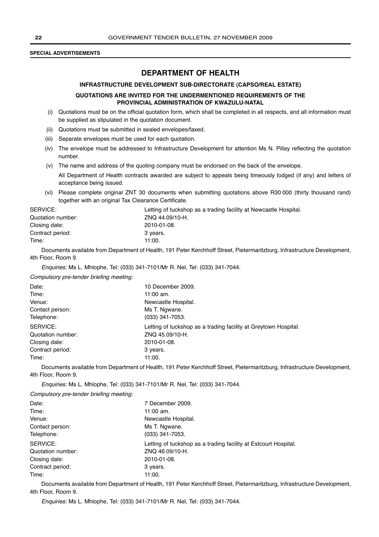#### **SPECIAL ADVERTISEMENTS**

## **DEPARTMENT OF HEALTH**

#### **INFRASTRUCTURE DEVELOPMENT SUB-DIRECTORATE (CAPSO/REAL ESTATE)**

#### **QUOTATIONS ARE INVITED FOR THE UNDERMENTIONED REQUIREMENTS OF THE PROVINCIAL ADMINISTRATION OF KWAZULU-NATAL**

- (i) Quotations must be on the official quotation form, which shall be completed in all respects, and all information must be supplied as stipulated in the quotation document.
- (ii) Quotations must be submitted in sealed envelopes/faxed.
- (iii) Separate envelopes must be used for each quotation.
- (iv) The envelope must be addressed to Infrastructure Development for attention Ms N. Pillay reflecting the quotation number.
- (v) The name and address of the quoting company must be endorsed on the back of the envelope.

All Department of Health contracts awarded are subject to appeals being timeously lodged (if any) and letters of acceptance being issued.

(vi) Please complete original ZNT 30 documents when submitting quotations above R30 000 (thirty thousand rand) together with an original Tax Clearance Certificate.

| SERVICE:          | Letting of tuckshop as a trading facility at Newcastle Hospital. |
|-------------------|------------------------------------------------------------------|
| Quotation number: | ZNQ 44.09/10-H.                                                  |
| Closing date:     | 2010-01-08.                                                      |
| Contract period:  | 3 years.                                                         |
| Time:             | 11:00.                                                           |

Documents available from Department of Health, 191 Peter Kerchhoff Street, Pietermaritzburg, Infrastructure Development, 4th Floor, Room 9.

Enquiries: Ms L. Mhlophe, Tel: (033) 341-7101/Mr R. Nel, Tel: (033) 341-7044.

Compulsory pre-tender briefing meeting:

| Date:             | 10 December 2009.                                               |
|-------------------|-----------------------------------------------------------------|
| Time:             | 11:00 am.                                                       |
| Venue:            | Newcastle Hospital.                                             |
| Contact person:   | Ms T. Ngwane.                                                   |
| Telephone:        | (033) 341-7053.                                                 |
| SERVICE:          | Letting of tuckshop as a trading facility at Greytown Hospital. |
| Quotation number: | ZNQ 45.09/10-H.                                                 |
| Closing date:     | 2010-01-08.                                                     |
| Contract period:  | 3 years.                                                        |
| Time:             | 11:00.                                                          |

Documents available from Department of Health, 191 Peter Kerchhoff Street, Pietermaritzburg, Infrastructure Development, 4th Floor, Room 9.

Enquiries: Ms L. Mhlophe, Tel: (033) 341-7101/Mr R. Nel, Tel: (033) 341-7044.

Compulsory pre-tender briefing meeting:

| 7 December 2009.                                                |
|-----------------------------------------------------------------|
| $11:00$ am.                                                     |
| Newcastle Hospital.                                             |
| Ms T. Ngwane.                                                   |
| (033) 341-7053.                                                 |
| Letting of tuckshop as a trading facility at Estcourt Hospital. |
| ZNQ 46.09/10-H.                                                 |
| 2010-01-08.                                                     |
| 3 years.                                                        |
| 11:00.                                                          |
|                                                                 |

Documents available from Department of Health, 191 Peter Kerchhoff Street, Pietermaritzburg, Infrastructure Development, 4th Floor, Room 9.

Enquiries: Ms L. Mhlophe, Tel: (033) 341-7101/Mr R. Nel, Tel: (033) 341-7044.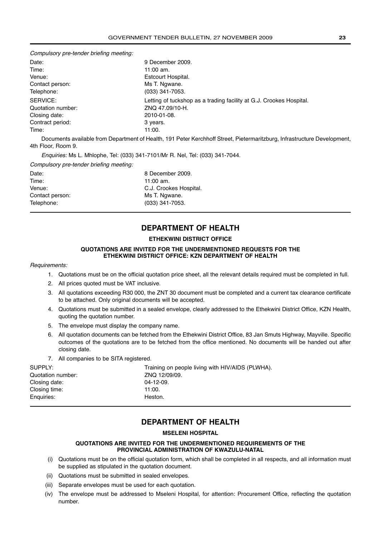Compulsory pre-tender briefing meeting:

| Date:             | 9 December 2009.                                                    |
|-------------------|---------------------------------------------------------------------|
| Time:             | 11:00 am.                                                           |
| Venue:            | Estcourt Hospital.                                                  |
| Contact person:   | Ms T. Ngwane.                                                       |
| Telephone:        | (033) 341-7053.                                                     |
| SERVICE:          | Letting of tuckshop as a trading facility at G.J. Crookes Hospital. |
| Quotation number: | ZNQ 47.09/10-H.                                                     |
| Closing date:     | 2010-01-08.                                                         |
| Contract period:  | 3 years.                                                            |
| Time:             | 11:00.                                                              |

Documents available from Department of Health, 191 Peter Kerchhoff Street, Pietermaritzburg, Infrastructure Development, 4th Floor, Room 9.

Enquiries: Ms L. Mhlophe, Tel: (033) 341-7101/Mr R. Nel, Tel: (033) 341-7044.

Compulsory pre-tender briefing meeting:

| Date:           | 8 December 2009.       |
|-----------------|------------------------|
| Time:           | 11:00 am.              |
| Venue:          | C.J. Crookes Hospital. |
| Contact person: | Ms T. Ngwane.          |
| Telephone:      | (033) 341-7053.        |

## **DEPARTMENT OF HEALTH**

#### **ETHEKWINI DISTRICT OFFICE**

#### **QUOTATIONS ARE INVITED FOR THE UNDERMENTIONED REQUESTS FOR THE ETHEKWINI DISTRICT OFFICE: KZN DEPARTMENT OF HEALTH**

#### Requirements:

- 1. Quotations must be on the official quotation price sheet, all the relevant details required must be completed in full.
- 2. All prices quoted must be VAT inclusive.
- 3. All quotations exceeding R30 000, the ZNT 30 document must be completed and a current tax clearance certificate to be attached. Only original documents will be accepted.
- 4. Quotations must be submitted in a sealed envelope, clearly addressed to the Ethekwini District Office, KZN Health, quoting the quotation number.
- 5. The envelope must display the company name.
- 6. All quotation documents can be fetched from the Ethekwini District Office, 83 Jan Smuts Highway, Mayville. Specific outcomes of the quotations are to be fetched from the office mentioned. No documents will be handed out after closing date.
- 7. All companies to be SITA registered.

| SUPPLY:           | Training on people living with HIV/AIDS (PLWHA). |
|-------------------|--------------------------------------------------|
| Quotation number: | ZNQ 12/09/09.                                    |
| Closing date:     | $04 - 12 - 09$ .                                 |
| Closing time:     | 11:00.                                           |
| Enguiries:        | Heston.                                          |

## **DEPARTMENT OF HEALTH**

#### **MSELENI HOSPITAL**

#### **QUOTATIONS ARE INVITED FOR THE UNDERMENTIONED REQUIREMENTS OF THE PROVINCIAL ADMINISTRATION OF KWAZULU-NATAL**

- (i) Quotations must be on the official quotation form, which shall be completed in all respects, and all information must be supplied as stipulated in the quotation document.
- (ii) Quotations must be submitted in sealed envelopes.
- (iii) Separate envelopes must be used for each quotation.
- (iv) The envelope must be addressed to Mseleni Hospital, for attention: Procurement Office, reflecting the quotation number.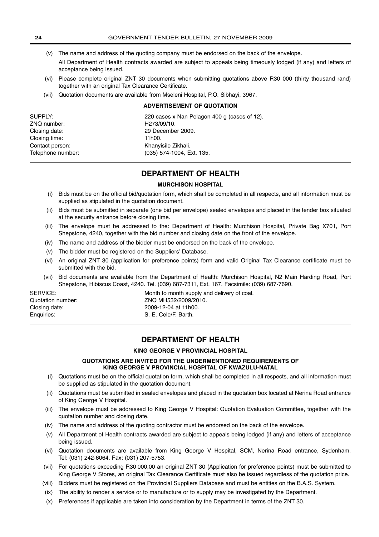- (v) The name and address of the quoting company must be endorsed on the back of the envelope.
- All Department of Health contracts awarded are subject to appeals being timeously lodged (if any) and letters of acceptance being issued.
- (vi) Please complete original ZNT 30 documents when submitting quotations above R30 000 (thirty thousand rand) together with an original Tax Clearance Certificate.
- (vii) Quotation documents are available from Mseleni Hospital, P.O. Sibhayi, 3967.

#### **ADVERTISEMENT OF QUOTATION**

| SUPPLY:           | 220 cases x Nan Pelagon 400 g (cases of 12). |
|-------------------|----------------------------------------------|
| ZNQ number:       | H <sub>273</sub> /09/10.                     |
| Closing date:     | 29 December 2009.                            |
| Closing time:     | 11h00.                                       |
| Contact person:   | Khanyisile Zikhali.                          |
| Telephone number: | (035) 574-1004, Ext. 135.                    |
|                   |                                              |

## **DEPARTMENT OF HEALTH**

#### **MURCHISON HOSPITAL**

- (i) Bids must be on the official bid/quotation form, which shall be completed in all respects, and all information must be supplied as stipulated in the quotation document.
- (ii) Bids must be submitted in separate (one bid per envelope) sealed envelopes and placed in the tender box situated at the security entrance before closing time.
- (iii) The envelope must be addressed to the: Department of Health: Murchison Hospital, Private Bag X701, Port Shepstone, 4240, together with the bid number and closing date on the front of the envelope.
- (iv) The name and address of the bidder must be endorsed on the back of the envelope.
- (v) The bidder must be registered on the Suppliers' Database.
- (vi) An original ZNT 30 (application for preference points) form and valid Original Tax Clearance certificate must be submitted with the bid.
- (vii) Bid documents are available from the Department of Health: Murchison Hospital, N2 Main Harding Road, Port Shepstone, Hibiscus Coast, 4240. Tel. (039) 687-7311, Ext. 167. Facsimile: (039) 687-7690.

SERVICE: SERVICE: SERVICE: SERVICE: Month to month supply and delivery of coal. Quotation number: ZNQ MH532/2009/2010. Closing date: 2009-12-04 at 11h00. Enquiries: S. E. Cele/F. Barth.

## **DEPARTMENT OF HEALTH**

#### **KING GEORGE V PROVINCIAL HOSPITAL**

#### **QUOTATIONS ARE INVITED FOR THE UNDERMENTIONED REQUIREMENTS OF KING GEORGE V PROVINCIAL HOSPITAL OF KWAZULU-NATAL**

- (i) Quotations must be on the official quotation form, which shall be completed in all respects, and all information must be supplied as stipulated in the quotation document.
- (ii) Quotations must be submitted in sealed envelopes and placed in the quotation box located at Nerina Road entrance of King George V Hospital.
- (iii) The envelope must be addressed to King George V Hospital: Quotation Evaluation Committee, together with the quotation number and closing date.
- (iv) The name and address of the quoting contractor must be endorsed on the back of the envelope.
- (v) All Department of Health contracts awarded are subject to appeals being lodged (if any) and letters of acceptance being issued.
- (vi) Quotation documents are available from King George V Hospital, SCM, Nerina Road entrance, Sydenham. Tel: (031) 242-6064. Fax: (031) 207-5753.
- (vii) For quotations exceeding R30 000,00 an original ZNT 30 (Application for preference points) must be submitted to King George V Stores, an original Tax Clearance Certificate must also be issued regardless of the quotation price.
- (viii) Bidders must be registered on the Provincial Suppliers Database and must be entities on the B.A.S. System.
- (ix) The ability to render a service or to manufacture or to supply may be investigated by the Department.
- (x) Preferences if applicable are taken into consideration by the Department in terms of the ZNT 30.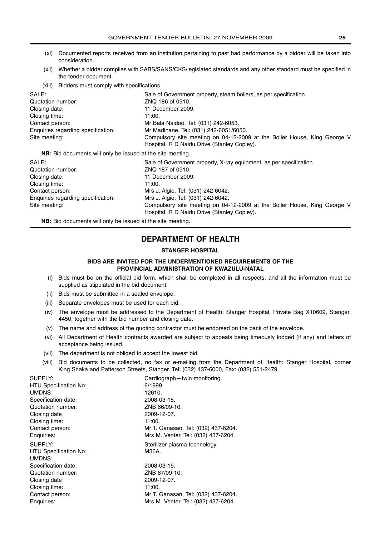- (xi) Documented reports received from an institution pertaining to past bad performance by a bidder will be taken into consideration.
- (xii) Whether a bidder complies with SABS/SANS/CKS/legislated standards and any other standard must be specified in the tender document.
- (xiii) Bidders must comply with specifications.

| SALE:                                                             | Sale of Government property, steam boilers, as per specification.                                                       |
|-------------------------------------------------------------------|-------------------------------------------------------------------------------------------------------------------------|
| Quotation number:                                                 | ZNQ 186 of 0910.                                                                                                        |
| Closing date:                                                     | 11 December 2009.                                                                                                       |
| Closing time:                                                     | 11:00.                                                                                                                  |
| Contact person:                                                   | Mr Bala Naidoo, Tel: (031) 242-6053.                                                                                    |
| Enquiries regarding specification:                                | Mr Madinane, Tel: (031) 242-6051/6050.                                                                                  |
| Site meeting:                                                     | Compulsory site meeting on 04-12-2009 at the Boiler House, King George V<br>Hospital, R D Naidu Drive (Stanley Copley). |
| <b>NB:</b> Bid documents will only be issued at the site meeting. |                                                                                                                         |
| SALE:                                                             | Sale of Government property, X-ray equipment, as per specification.                                                     |
| Quotation number:                                                 | ZNO 187 of 0910.                                                                                                        |
| Closing date:                                                     | 11 December 2009.                                                                                                       |
| Closing time:                                                     | 11:00.                                                                                                                  |
|                                                                   | $M_{\odot}$   $M_{\odot}$ = T.L. (004) 040,0040                                                                         |

| ⊖losinq time:                      | 1.UU.                                                                    |
|------------------------------------|--------------------------------------------------------------------------|
| Contact person:                    | Mrs J. Algie, Tel: (031) 242-6042.                                       |
| Enquiries regarding specification: | Mrs J. Algie, Tel: (031) 242-6042.                                       |
| Site meeting:                      | Compulsory site meeting on 04-12-2009 at the Boiler House, King George V |
|                                    | Hospital, R D Naidu Drive (Stanley Copley).                              |

**NB:** Bid documents will only be issued at the site meeting.

## **DEPARTMENT OF HEALTH**

#### **STANGER HOSPITAL**

#### **BIDS ARE INVITED FOR THE UNDERMENTIONED REQUIREMENTS OF THE PROVINCIAL ADMINISTRATION OF KWAZULU-NATAL**

- (i) Bids must be on the official bid form, which shall be completed in all respects, and all the information must be supplied as stipulated in the bid document.
- (ii) Bids must be submitted in a sealed envelope.
- (iii) Separate envelopes must be used for each bid.
- (iv) The envelope must be addressed to the Department of Health: Stanger Hospital, Private Bag X10609, Stanger, 4450, together with the bid number and closing date.
- (v) The name and address of the quoting contractor must be endorsed on the back of the envelope.
- (vi) All Department of Health contracts awarded are subject to appeals being timeously lodged (if any) and letters of acceptance being issued.
- (vii) The department is not obliged to accept the lowest bid.
- (viii) Bid documents to be collected, no fax or e-mailing from the Department of Health: Stanger Hospital, corner King Shaka and Patterson Streets, Stanger. Tel: (032) 437-6000, Fax: (032) 551-2479.

| SUPPLY:                      | Cardiograph-twin monitoring.        |
|------------------------------|-------------------------------------|
| <b>HTU Specification No:</b> | 6/1999.                             |
| UMDNS:                       | 12610.                              |
| Specification date:          | 2008-03-15.                         |
| Quotation number:            | ZNB 66/09-10.                       |
| Closing date                 | 2009-12-07.                         |
| Closing time:                | 11:00.                              |
| Contact person:              | Mr T. Ganasan, Tel: (032) 437-6204. |
| Enquiries:                   | Mrs M. Venter, Tel: (032) 437-6204. |
|                              |                                     |
| SUPPLY:                      | Sterilizer plasma technology.       |
| <b>HTU Specification No:</b> | M36A.                               |
| UMDNS:                       |                                     |
| Specification date:          | 2008-03-15.                         |
| Quotation number:            | ZNB 67/09-10.                       |
| Closing date                 | 2009-12-07.                         |
| Closing time:                | 11:00.                              |
| Contact person:              | Mr T. Ganasan, Tel: (032) 437-6204. |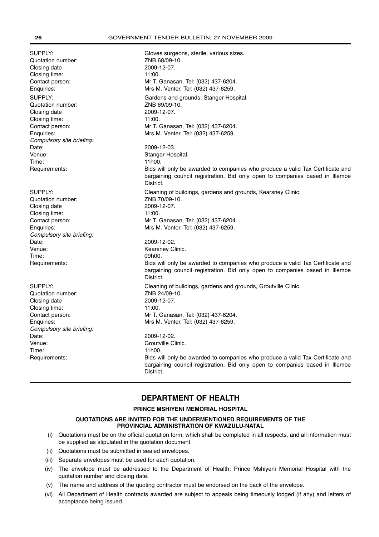SUPPLY: Gloves surgeons, sterile, various sizes. Quotation number: <br>
ZNB 68/09-10. Closing date 2009-12-07. Closing time: 11:00. Contact person: Mr T. Ganasan, Tel: (032) 437-6204. Enquiries: Mrs M. Venter, Tel: (032) 437-6259. SUPPLY: **Gardens and grounds: Stanger Hospital.** Quotation number: <br>
Closing date <br>
2009-12-07 Closing date Closing time: 11:00. Contact person: Mr T. Ganasan, Tel: (032) 437-6204. Enquiries: Mrs M. Venter, Tel: (032) 437-6259. Compulsory site briefing: Date: 2009-12-03. Venue: **Stanger Hospital.** Time: 11h00. Requirements: Bids will only be awarded to companies who produce a valid Tax Certificate and bargaining council registration. Bid only open to companies based in Illembe District. SUPPLY: Cleaning of buildings, gardens and grounds, Kearsney Clinic. Quotation number: ZNB 70/09-10. Closing date 2009-12-07. Closing time: 11:00. Contact person: Mr T. Ganasan, Tel: (032) 437-6204. Enquiries: Mrs M. Venter, Tel: (032) 437-6259. Compulsory site briefing: Date: 2009-12-02. Venue: Kearsney Clinic. Time: 09h00. Requirements: Bids will only be awarded to companies who produce a valid Tax Certificate and bargaining council registration. Bid only open to companies based in Illembe District. SUPPLY: Cleaning of buildings, gardens and grounds, Groutville Clinic. Quotation number: <br>
ZNB 24/09-10. Closing date 2009-12-07. Closing time: 11:00. Contact person: Mr T. Ganasan, Tel: (032) 437-6204. Enquiries: Mrs M. Venter, Tel: (032) 437-6259. Compulsory site briefing: Date: 2009-12-02. Venue: **Groutville Clinic.** Time: 11h00. Requirements: Bids will only be awarded to companies who produce a valid Tax Certificate and bargaining council registration. Bid only open to companies based in Illembe **District** 

## **DEPARTMENT OF HEALTH**

#### **PRINCE MSHIYENI MEMORIAL HOSPITAL**

#### **QUOTATIONS ARE INVITED FOR THE UNDERMENTIONED REQUIREMENTS OF THE PROVINCIAL ADMINISTRATION OF KWAZULU-NATAL**

- (i) Quotations must be on the official quotation form, which shall be completed in all respects, and all information must be supplied as stipulated in the quotation document.
- (ii) Quotations must be submitted in sealed envelopes.
- (iii) Separate envelopes must be used for each quotation.
- (iv) The envelope must be addressed to the Department of Health: Prince Mshiyeni Memorial Hospital with the quotation number and closing date.
- (v) The name and address of the quoting contractor must be endorsed on the back of the envelope.
- (vi) All Department of Health contracts awarded are subject to appeals being timeously lodged (if any) and letters of acceptance being issued.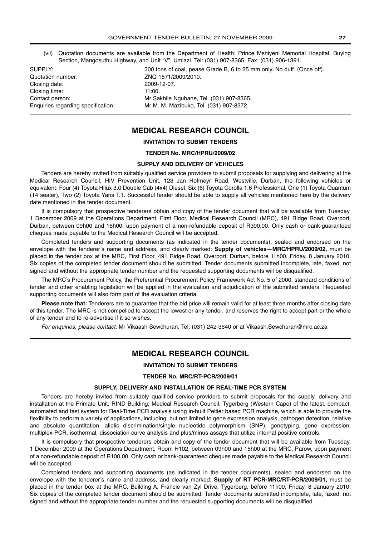(vii) Quotation documents are available from the Department of Health: Prince Mshiyeni Memorial Hospital, Buying Section, Mangosuthu Highway, and Unit "V", Umlazi. Tel: (031) 907-8365. Fax: (031) 906-1391.

Quotation number: ZNQ 1571/2009/2010. Closing date: 2009-12-07. Closing time: 11:00.

SUPPLY: 300 tons of coal, pease Grade B, 6 to 25 mm only. No duff. (Once off). Contact person: Mr Sakhile Ngubane, Tel. (031) 907-8365. Enquiries regarding specification: Mr M. M. Mazibuko, Tel. (031) 907-8272.

## **MEDICAL RESEARCH COUNCIL**

#### **INVITATION TO SUBMIT TENDERS**

#### **TENDER No. MRC/HPRU/2009/02**

#### **SUPPLY AND DELIVERY OF VEHICLES**

Tenders are hereby invited from suitably qualified service providers to submit proposals for supplying and delivering at the Medical Research Council, HIV Prevention Unit, 123 Jan Hofmeyr Road, Westville, Durban, the following vehicles or equivalent: Four (4) Toyota Hilux 3.0 Double Cab (4x4) Diesel, Six (6) Toyota Corolla 1.6 Professional, One (1) Toyota Quantum (14 seater), Two (2) Toyota Yaris T.1. Successful tender should be able to supply all vehicles mentioned here by the delivery date mentioned in the tender document.

It is compulsory that prospective tenderers obtain and copy of the tender document that will be available from Tuesday, 1 December 2009 at the Operations Department, First Floor, Medical Research Council (MRC), 491 Ridge Road, Overport, Durban, between 09h00 and 15h00, upon payment of a non-refundable deposit of R300,00. Only cash or bank-guaranteed cheques made payable to the Medical Research Council will be accepted.

Completed tenders and supporting documents (as indicated in the tender documents), sealed and endorsed on the envelope with the tenderer's name and address, and clearly marked: **Supply of vehicles—MRC/HPRU/2009/02,** must be placed in the tender box at the MRC, First Floor, 491 Ridge Road, Overport, Durban, before 11h00, Friday, 8 January 2010. Six copies of the completed tender document should be submitted. Tender documents submitted incomplete, late, faxed, not signed and without the appropriate tender number and the requested supporting documents will be disqualified.

The MRC's Procurement Policy, the Preferential Procurement Policy Framework Act No. 5 of 2000, standard conditions of tender and other enabling legislation will be applied in the evaluation and adjudication of the submitted tenders. Requested supporting documents will also form part of the evaluation criteria.

**Please note that:** Tenderers are to guarantee that the bid price will remain valid for at least three months after closing date of this tender. The MRC is not compelled to accept the lowest or any tender, and reserves the right to accept part or the whole of any tender and to re-advertise if it so wishes.

For enquiries, please contact: Mr Vikaash Sewchuran. Tel: (031) 242-3640 or at Vikaash.Sewchuran@mrc.ac.za

## **MEDICAL RESEARCH COUNCIL**

#### **INVITATION TO SUBMIT TENDERS**

#### **TENDER No. MRC/RT-PCR/2009/01**

#### **SUPPLY, DELIVERY AND INSTALLATION OF REAL-TIME PCR SYSTEM**

Tenders are hereby invited from suitably qualified service providers to submit proposals for the supply, delivery and installation at the Primate Unit, RIND Building, Medical Research Council, Tygerberg (Western Cape) of the latest, compact, automated and fast system for Real-Time PCR analysis using in-built Peltier based PCR machine, which is able to provide the flexibility to perform a variety of applications, including, but not limited to gene expression analysis, pathogen detection, relative and absolute quantitation, allelic discrimination/single nucleotide polymorphism (SNP), genotyping, gene expression, multiplex-PCR, isothermal, dissociation curve analysis and plus/minus assays that utilize internal positive controls.

It is compulsory that prospective tenderers obtain and copy of the tender document that will be available from Tuesday, 1 December 2009 at the Operations Department, Room H102, between 09h00 and 15h00 at the MRC, Parow, upon payment of a non-refundable deposit of R100,00. Only cash or bank-guaranteed cheques made payable to the Medical Research Council will be accepted.

Completed tenders and supporting documents (as indicated in the tender documents), sealed and endorsed on the envelope with the tenderer's name and address, and clearly marked: **Supply of RT PCR-MRC/RT-PCR/2009/01,** must be placed in the tender box at the MRC, Building A, Francie van Zyl Drive, Tygerberg, before 11h00, Friday, 8 January 2010. Six copies of the completed tender document should be submitted. Tender documents submitted incomplete, late, faxed, not signed and without the appropriate tender number and the requested supporting documents will be disqualified.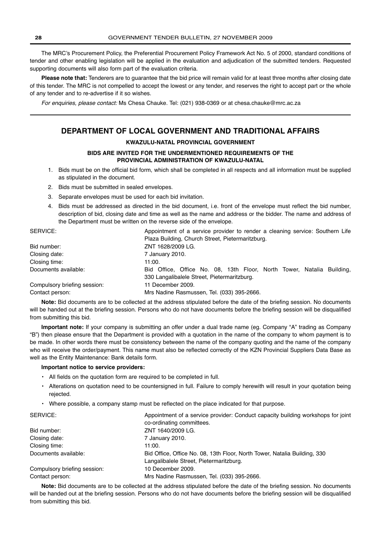The MRC's Procurement Policy, the Preferential Procurement Policy Framework Act No. 5 of 2000, standard conditions of tender and other enabling legislation will be applied in the evaluation and adjudication of the submitted tenders. Requested supporting documents will also form part of the evaluation criteria.

**Please note that:** Tenderers are to guarantee that the bid price will remain valid for at least three months after closing date of this tender. The MRC is not compelled to accept the lowest or any tender, and reserves the right to accept part or the whole of any tender and to re-advertise if it so wishes.

For enquiries, please contact: Ms Chesa Chauke. Tel: (021) 938-0369 or at chesa.chauke@mrc.ac.za

## **DEPARTMENT OF LOCAL GOVERNMENT AND TRADITIONAL AFFAIRS**

#### **KWAZULU-NATAL PROVINCIAL GOVERNMENT**

#### **BIDS ARE INVITED FOR THE UNDERMENTIONED REQUIREMENTS OF THE PROVINCIAL ADMINISTRATION OF KWAZULU-NATAL**

- 1. Bids must be on the official bid form, which shall be completed in all respects and all information must be supplied as stipulated in the document.
- 2. Bids must be submitted in sealed envelopes.
- 3. Separate envelopes must be used for each bid invitation.
- 4. Bids must be addressed as directed in the bid document, i.e. front of the envelope must reflect the bid number, description of bid, closing date and time as well as the name and address or the bidder. The name and address of the Department must be written on the reverse side of the envelope.

| SERVICE:                     | Appointment of a service provider to render a cleaning service: Southern Life |
|------------------------------|-------------------------------------------------------------------------------|
|                              | Plaza Building, Church Street, Pietermaritzburg.                              |
| Bid number:                  | ZNT 1628/2009 LG.                                                             |
| Closing date:                | 7 January 2010.                                                               |
| Closing time:                | 11:00.                                                                        |
| Documents available:         | Bid Office, Office No. 08, 13th Floor, North Tower, Natalia Building,         |
|                              | 330 Langalibalele Street, Pietermaritzburg.                                   |
| Compulsory briefing session: | 11 December 2009.                                                             |
| Contact person:              | Mrs Nadine Rasmussen, Tel. (033) 395-2666.                                    |

**Note:** Bid documents are to be collected at the address stipulated before the date of the briefing session. No documents will be handed out at the briefing session. Persons who do not have documents before the briefing session will be disqualified from submitting this bid.

**Important note:** If your company is submitting an offer under a dual trade name (eg. Company "A" trading as Company "B") then please ensure that the Department is provided with a quotation in the name of the company to whom payment is to be made. In other words there must be consistency between the name of the company quoting and the name of the company who will receive the order/payment. This name must also be reflected correctly of the KZN Provincial Suppliers Data Base as well as the Entity Maintenance: Bank details form.

#### **Important notice to service providers:**

- All fields on the quotation form are required to be completed in full.
- Alterations on quotation need to be countersigned in full. Failure to comply herewith will result in your quotation being rejected.
- Where possible, a company stamp must be reflected on the place indicated for that purpose.

| Appointment of a service provider: Conduct capacity building workshops for joint |
|----------------------------------------------------------------------------------|
| co-ordinating committees.                                                        |
| ZNT 1640/2009 LG.                                                                |
| 7 January 2010.                                                                  |
| 11:00.                                                                           |
| Bid Office, Office No. 08, 13th Floor, North Tower, Natalia Building, 330        |
| Langalibalele Street, Pietermaritzburg.                                          |
| 10 December 2009.                                                                |
| Mrs Nadine Rasmussen, Tel. (033) 395-2666.                                       |
|                                                                                  |

**Note:** Bid documents are to be collected at the address stipulated before the date of the briefing session. No documents will be handed out at the briefing session. Persons who do not have documents before the briefing session will be disqualified from submitting this bid.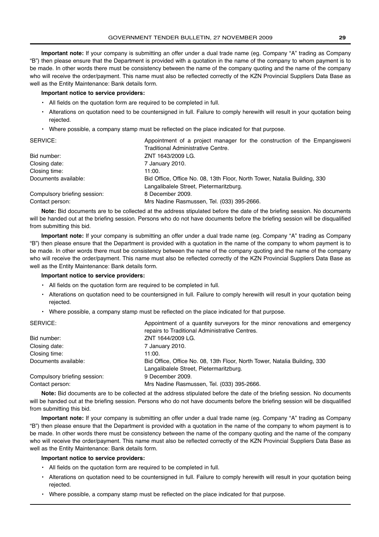**Important note:** If your company is submitting an offer under a dual trade name (eg. Company "A" trading as Company "B") then please ensure that the Department is provided with a quotation in the name of the company to whom payment is to be made. In other words there must be consistency between the name of the company quoting and the name of the company who will receive the order/payment. This name must also be reflected correctly of the KZN Provincial Suppliers Data Base as well as the Entity Maintenance: Bank details form.

#### **Important notice to service providers:**

- All fields on the quotation form are required to be completed in full.
- Alterations on quotation need to be countersigned in full. Failure to comply herewith will result in your quotation being rejected.
- Where possible, a company stamp must be reflected on the place indicated for that purpose.

| SERVICE:                     | Appointment of a project manager for the construction of the Empangisweni |
|------------------------------|---------------------------------------------------------------------------|
|                              | Traditional Administrative Centre.                                        |
| Bid number:                  | ZNT 1643/2009 LG.                                                         |
| Closing date:                | 7 January 2010.                                                           |
| Closing time:                | 11:00.                                                                    |
| Documents available:         | Bid Office, Office No. 08, 13th Floor, North Tower, Natalia Building, 330 |
|                              | Langalibalele Street, Pietermaritzburg.                                   |
| Compulsory briefing session: | 8 December 2009.                                                          |
| Contact person:              | Mrs Nadine Rasmussen, Tel. (033) 395-2666.                                |

**Note:** Bid documents are to be collected at the address stipulated before the date of the briefing session. No documents will be handed out at the briefing session. Persons who do not have documents before the briefing session will be disqualified from submitting this bid.

**Important note:** If your company is submitting an offer under a dual trade name (eg. Company "A" trading as Company "B") then please ensure that the Department is provided with a quotation in the name of the company to whom payment is to be made. In other words there must be consistency between the name of the company quoting and the name of the company who will receive the order/payment. This name must also be reflected correctly of the KZN Provincial Suppliers Data Base as well as the Entity Maintenance: Bank details form.

#### **Important notice to service providers:**

- All fields on the quotation form are required to be completed in full.
- Alterations on quotation need to be countersigned in full. Failure to comply herewith will result in your quotation being rejected.

• Where possible, a company stamp must be reflected on the place indicated for that purpose.

| SERVICE:                     | Appointment of a quantity surveyors for the minor renovations and emergency |
|------------------------------|-----------------------------------------------------------------------------|
|                              | repairs to Traditional Administrative Centres.                              |
| Bid number:                  | ZNT 1644/2009 LG.                                                           |
| Closing date:                | 7 January 2010.                                                             |
| Closing time:                | 11:00.                                                                      |
| Documents available:         | Bid Office, Office No. 08, 13th Floor, North Tower, Natalia Building, 330   |
|                              | Langalibalele Street, Pietermaritzburg.                                     |
| Compulsory briefing session: | 9 December 2009.                                                            |
| Contact person:              | Mrs Nadine Rasmussen, Tel. (033) 395-2666.                                  |

**Note:** Bid documents are to be collected at the address stipulated before the date of the briefing session. No documents will be handed out at the briefing session. Persons who do not have documents before the briefing session will be disqualified from submitting this bid.

**Important note:** If your company is submitting an offer under a dual trade name (eg. Company "A" trading as Company "B") then please ensure that the Department is provided with a quotation in the name of the company to whom payment is to be made. In other words there must be consistency between the name of the company quoting and the name of the company who will receive the order/payment. This name must also be reflected correctly of the KZN Provincial Suppliers Data Base as well as the Entity Maintenance: Bank details form.

#### **Important notice to service providers:**

- All fields on the quotation form are required to be completed in full.
- Alterations on quotation need to be countersigned in full. Failure to comply herewith will result in your quotation being rejected.
- Where possible, a company stamp must be reflected on the place indicated for that purpose.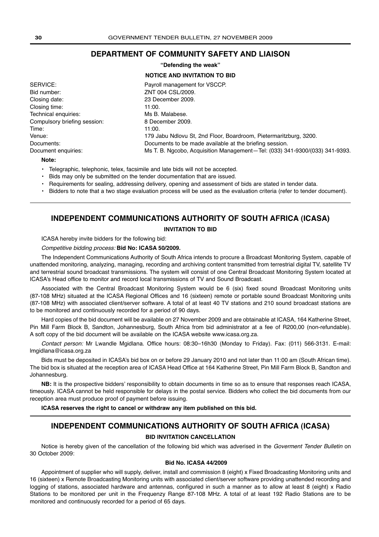## **DEPARTMENT OF COMMUNITY SAFETY AND LIAISON**

**"Defending the weak"**

#### **NOTICE AND INVITATION TO BID**

| SERVICE:                     | Payroll management for VSCCP.                                               |
|------------------------------|-----------------------------------------------------------------------------|
| Bid number:                  | ZNT 004 CSL/2009.                                                           |
| Closing date:                | 23 December 2009.                                                           |
| Closing time:                | 11:00.                                                                      |
| Technical enguiries:         | Ms B. Malabese.                                                             |
| Compulsory briefing session: | 8 December 2009.                                                            |
| Time:                        | 11:00.                                                                      |
| Venue:                       | 179 Jabu Ndlovu St, 2nd Floor, Boardroom, Pietermaritzburg, 3200.           |
| Documents:                   | Documents to be made available at the briefing session.                     |
| Document enquiries:          | Ms T. B. Ngcobo, Acquisition Management-Tel: (033) 341-9300/(033) 341-9393. |

**Note:**

- Telegraphic, telephonic, telex, facsimile and late bids will not be accepted.
- Bids may only be submitted on the tender documentation that are issued.
- Requirements for sealing, addressing delivery, opening and assessment of bids are stated in tender data.
- Bidders to note that a two stage evaluation process will be used as the evaluation criteria (refer to tender document).

## **INDEPENDENT COMMUNICATIONS AUTHORITY OF SOUTH AFRICA (ICASA)**

#### **INVITATION TO BID**

ICASA hereby invite bidders for the following bid:

#### Competitive bidding process: **Bid No: ICASA 50/2009.**

The Independent Communications Authority of South Africa intends to procure a Broadcast Monitoring System, capable of unattended monitoring, analyzing, managing, recording and archiving content transmitted from terrestrial digital TV, satellite TV and terrestrial sound broadcast transmissions. The system will consist of one Central Broadcast Monitoring System located at ICASA's Head office to monitor and record local transmissions of TV and Sound Broadcast.

Associated with the Central Broadcast Monitoring System would be 6 (six) fixed sound Broadcast Monitoring units (87-108 MHz) situated at the ICASA Regional Offices and 16 (sixteen) remote or portable sound Broadcast Monitoring units (87-108 MHz) with associated client/server software. A total of at least 40 TV stations and 210 sound broadcast stations are to be monitored and continuously recorded for a period of 90 days.

Hard copies of the bid document will be available on 27 November 2009 and are obtainable at ICASA, 164 Katherine Street, Pin Mill Farm Block B, Sandton, Johannesburg, South Africa from bid administrator at a fee of R200,00 (non-refundable). A soft copy of the bid document will be available on the ICASA website www.icasa.org.za.

Contact person: Mr Lwandle Mgidlana. Office hours: 08:30–16h30 (Monday to Friday). Fax: (011) 566-3131. E-mail: lmgidlana@icasa.org.za

Bids must be deposited in ICASA's bid box on or before 29 January 2010 and not later than 11:00 am (South African time). The bid box is situated at the reception area of ICASA Head Office at 164 Katherine Street, Pin Mill Farm Block B, Sandton and Johannesburg.

**NB:** It is the prospective bidders' responsibility to obtain documents in time so as to ensure that responses reach ICASA, timeously. ICASA cannot be held responsible for delays in the postal service. Bidders who collect the bid documents from our reception area must produce proof of payment before issuing.

**ICASA reserves the right to cancel or withdraw any item published on this bid.**

## **INDEPENDENT COMMUNICATIONS AUTHORITY OF SOUTH AFRICA (ICASA)**

#### **BID INVITATION CANCELLATION**

Notice is hereby given of the cancellation of the following bid which was adverised in the Goverment Tender Bulletin on 30 October 2009:

#### **Bid No. ICASA 44/2009**

Appointment of supplier who will supply, deliver, install and commission 8 (eight) x Fixed Broadcasting Monitoring units and 16 (sixteen) x Remote Broadcasting Monitoring units with associated client/server software providing unattended recording and logging of stations, associated hardware and antennas, configured in such a manner as to allow at least 8 (eight) x Radio Stations to be monitored per unit in the Frequenzy Range 87-108 MHz. A total of at least 192 Radio Stations are to be monitored and continuously recorded for a period of 65 days.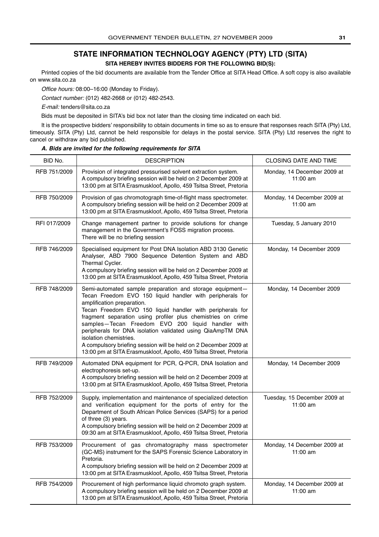## **STATE INFORMATION TECHNOLOGY AGENCY (PTY) LTD (SITA)**

**SITA HEREBY INVITES BIDDERS FOR THE FOLLOWING BID(S):**

Printed copies of the bid documents are available from the Tender Office at SITA Head Office. A soft copy is also available on www.sita.co.za

Office hours: 08:00–16:00 (Monday to Friday).

Contact number: (012) 482-2668 or (012) 482-2543.

E-mail: tenders@sita.co.za

Bids must be deposited in SITA's bid box not later than the closing time indicated on each bid.

It is the prospective bidders' responsibility to obtain documents in time so as to ensure that responses reach SITA (Pty) Ltd, timeously. SITA (Pty) Ltd, cannot be held responsible for delays in the postal service. SITA (Pty) Ltd reserves the right to cancel or withdraw any bid published.

| BID No.      | <b>DESCRIPTION</b>                                                                                                                                                                                                                                                                                                                                                                                                                                                                                                                                                      | CLOSING DATE AND TIME                    |
|--------------|-------------------------------------------------------------------------------------------------------------------------------------------------------------------------------------------------------------------------------------------------------------------------------------------------------------------------------------------------------------------------------------------------------------------------------------------------------------------------------------------------------------------------------------------------------------------------|------------------------------------------|
| RFB 751/2009 | Provision of integrated pressurised solvent extraction system.<br>A compulsory briefing session will be held on 2 December 2009 at<br>13:00 pm at SITA Erasmuskloof, Apollo, 459 Tsitsa Street, Pretoria                                                                                                                                                                                                                                                                                                                                                                | Monday, 14 December 2009 at<br>11:00 am  |
| RFB 750/2009 | Provision of gas chromotograph time-of-flight mass spectrometer.<br>A compulsory briefing session will be held on 2 December 2009 at<br>13:00 pm at SITA Erasmuskloof, Apollo, 459 Tsitsa Street, Pretoria                                                                                                                                                                                                                                                                                                                                                              | Monday, 14 December 2009 at<br>11:00 am  |
| RFI 017/2009 | Change management partner to provide solutions for change<br>management in the Government's FOSS migration process.<br>There will be no briefing session                                                                                                                                                                                                                                                                                                                                                                                                                | Tuesday, 5 January 2010                  |
| RFB 746/2009 | Specialised equipment for Post DNA Isolation ABD 3130 Genetic<br>Analyser, ABD 7900 Sequence Detention System and ABD<br>Thermal Cycler.<br>A compulsory briefing session will be held on 2 December 2009 at<br>13:00 pm at SITA Erasmuskloof, Apollo, 459 Tsitsa Street, Pretoria                                                                                                                                                                                                                                                                                      | Monday, 14 December 2009                 |
| RFB 748/2009 | Semi-automated sample preparation and storage equipment-<br>Tecan Freedom EVO 150 liquid handler with peripherals for<br>amplification preparation.<br>Tecan Freedom EVO 150 liquid handler with peripherals for<br>fragment separation using profiler plus chemistries on crime<br>samples-Tecan Freedom EVO 200 liquid handler with<br>peripherals for DNA isolation validated using QiaAmpTM DNA<br>isolation chemistries.<br>A compulsory briefing session will be held on 2 December 2009 at<br>13:00 pm at SITA Erasmuskloof, Apollo, 459 Tsitsa Street, Pretoria | Monday, 14 December 2009                 |
| RFB 749/2009 | Automated DNA equipment for PCR, Q-PCR, DNA Isolation and<br>electrophoresis set-up.<br>A compulsory briefing session will be held on 2 December 2009 at<br>13:00 pm at SITA Erasmuskloof, Apollo, 459 Tsitsa Street, Pretoria                                                                                                                                                                                                                                                                                                                                          | Monday, 14 December 2009                 |
| RFB 752/2009 | Supply, implementation and maintenance of specialized detection<br>and verification equipment for the ports of entry for the<br>Department of South African Police Services (SAPS) for a period<br>of three (3) years.<br>A compulsory briefing session will be held on 2 December 2009 at<br>09:30 am at SITA Erasmuskloof, Apollo, 459 Tsitsa Street, Pretoria                                                                                                                                                                                                        | Tuesday, 15 December 2009 at<br>11:00 am |
| RFB 753/2009 | Procurement of gas chromatography mass spectrometer<br>(GC-MS) instrument for the SAPS Forensic Science Laboratory in<br>Pretoria.<br>A compulsory briefing session will be held on 2 December 2009 at<br>13:00 pm at SITA Erasmuskloof, Apollo, 459 Tsitsa Street, Pretoria                                                                                                                                                                                                                                                                                            | Monday, 14 December 2009 at<br>11:00 am  |
| RFB 754/2009 | Procurement of high performance liquid chromoto graph system.<br>A compulsory briefing session will be held on 2 December 2009 at<br>13:00 pm at SITA Erasmuskloof, Apollo, 459 Tsitsa Street, Pretoria                                                                                                                                                                                                                                                                                                                                                                 | Monday, 14 December 2009 at<br>11:00 am  |

#### **A. Bids are invited for the following requirements for SITA**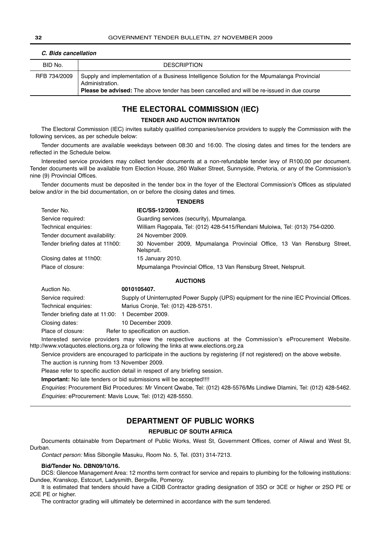| BID No.      | <b>DESCRIPTION</b>                                                                                                                                                                                                  |
|--------------|---------------------------------------------------------------------------------------------------------------------------------------------------------------------------------------------------------------------|
| RFB 734/2009 | Supply and implementation of a Business Intelligence Solution for the Mpumalanga Provincial<br>Administration.<br><b>Please be advised:</b> The above tender has been cancelled and will be re-issued in due course |

## **C. Bids cancellation**

## **THE ELECTORAL COMMISSION (IEC)**

#### **TENDER AND AUCTION INVITATION**

The Electoral Commission (IEC) invites suitably qualified companies/service providers to supply the Commission with the following services, as per schedule below:

Tender documents are available weekdays between 08:30 and 16:00. The closing dates and times for the tenders are reflected in the Schedule below.

Interested service providers may collect tender documents at a non-refundable tender levy of R100,00 per document. Tender documents will be available from Election House, 260 Walker Street, Sunnyside, Pretoria, or any of the Commission's nine (9) Provincial Offices.

Tender documents must be deposited in the tender box in the foyer of the Electoral Commission's Offices as stipulated below and/or in the bid documentation, on or before the closing dates and times.

**TENDERS**

| Tender No.                      | IEC/SS-12/2009.                                                                       |
|---------------------------------|---------------------------------------------------------------------------------------|
| Service required:               | Guarding services (security), Mpumalanga.                                             |
| Technical enquiries:            | William Ragopala, Tel: (012) 428-5415/Rendani Muloiwa, Tel: (013) 754-0200.           |
| Tender document availability:   | 24 November 2009.                                                                     |
| Tender briefing dates at 11h00: | 30 November 2009, Mpumalanga Provincial Office, 13 Van Rensburg Street,<br>Nelspruit. |
| Closing dates at 11h00:         | 15 January 2010.                                                                      |
| Place of closure:               | Mpumalanga Provincial Office, 13 Van Rensburg Street, Nelspruit.                      |

#### **AUCTIONS**

| Auction No.                                     | 0010105407.                                                                               |
|-------------------------------------------------|-------------------------------------------------------------------------------------------|
| Service required:                               | Supply of Uninterrupted Power Supply (UPS) equipment for the nine IEC Provincial Offices. |
| Technical enquiries:                            | Marius Cronje, Tel: (012) 428-5751.                                                       |
| Tender briefing date at 11:00: 1 December 2009. |                                                                                           |
| Closing dates:                                  | 10 December 2009.                                                                         |
| Place of closure:                               | Refer to specification on auction.                                                        |

Interested service providers may view the respective auctions at the Commission's eProcurement Website. http://www.votaquotes.elections.org.za or following the links at www.elections.org.za

Service providers are encouraged to participate in the auctions by registering (if not registered) on the above website.

The auction is running from 13 November 2009.

Please refer to specific auction detail in respect of any briefing session.

**Important:** No late tenders or bid submissions will be accepted!!!!

Enquiries: Procurement Bid Procedures: Mr Vincent Qwabe, Tel: (012) 428-5576/Ms Lindiwe Dlamini, Tel: (012) 428-5462. Enquiries: eProcurement: Mavis Louw, Tel: (012) 428-5550.

### **DEPARTMENT OF PUBLIC WORKS**

#### **REPUBLIC OF SOUTH AFRICA**

Documents obtainable from Department of Public Works, West St, Government Offices, corner of Aliwal and West St, Durban.

Contact person: Miss Sibongile Masuku, Room No. 5, Tel. (031) 314-7213.

#### **Bid/Tender No. DBN09/10/16.**

DCS: Glencoe Management Area: 12 months term contract for service and repairs to plumbing for the following institutions: Dundee, Kranskop, Estcourt, Ladysmith, Bergville, Pomeroy.

It is estimated that tenders should have a CIDB Contractor grading designation of 3SO or 3CE or higher or 2SO PE or 2CE PE or higher.

The contractor grading will ultimately be determined in accordance with the sum tendered.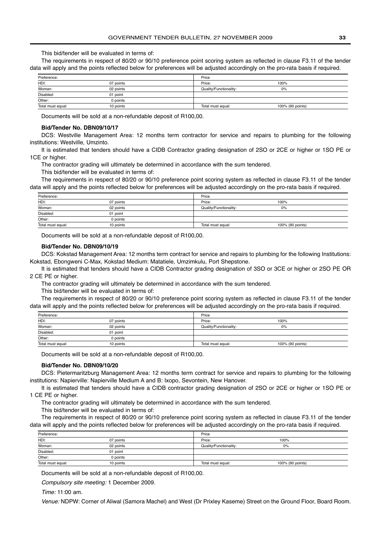This bid/tender will be evaluated in terms of:

The requirements in respect of 80/20 or 90/10 preference point scoring system as reflected in clause F3.11 of the tender data will apply and the points reflected below for preferences will be adjusted accordingly on the pro-rata basis if required.

| Preference:       |           | Price                  |                  |
|-------------------|-----------|------------------------|------------------|
| HDI:              | 07 points | Price:                 | 100%             |
| Woman:            | 02 points | Quality/Functionality: | 0%               |
| Disabled:         | 01 point  |                        |                  |
| Other:            | 0 points  |                        |                  |
| Total must equal: | 10 points | Total must equal:      | 100% (90 points) |

Documents will be sold at a non-refundable deposit of R100,00.

#### **Bid/Tender No. DBN09/10/17**

DCS: Westville Management Area: 12 months term contractor for service and repairs to plumbing for the following institutions: Westville, Umzinto.

It is estimated that tenders should have a CIDB Contractor grading designation of 2SO or 2CE or higher or 1SO PE or 1CE or higher.

The contractor grading will ultimately be determined in accordance with the sum tendered.

This bid/tender will be evaluated in terms of:

The requirements in respect of 80/20 or 90/10 preference point scoring system as reflected in clause F3.11 of the tender data will apply and the points reflected below for preferences will be adjusted accordingly on the pro-rata basis if required.

| Preference:       |           | Price                  |                  |
|-------------------|-----------|------------------------|------------------|
| HDI:              | 07 points | Price:                 | 100%             |
| Woman:            | 02 points | Quality/Functionality: | 0%               |
| Disabled:         | 01 point  |                        |                  |
| Other:            | 0 points  |                        |                  |
| Total must equal: | 10 points | Total must equal:      | 100% (90 points) |

Documents will be sold at a non-refundable deposit of R100,00.

#### **Bid/Tender No. DBN09/10/19**

DCS: Kokstad Management Area: 12 months term contract for service and repairs to plumbing for the following Institutions: Kokstad, Ebongweni C-Max, Kokstad Medium: Matatiele, Umzimkulu, Port Shepstone.

It is estimated that tenders should have a CIDB Contractor grading designation of 3SO or 3CE or higher or 2SO PE OR 2 CE PE or higher.

The contractor grading will ultimately be determined in accordance with the sum tendered.

This bid/tender will be evaluated in terms of:

The requirements in respect of 80/20 or 90/10 preference point scoring system as reflected in clause F3.11 of the tender data will apply and the points reflected below for preferences will be adjusted accordingly on the pro-rata basis if required.

| Preference:       |           | Price                  |                  |  |
|-------------------|-----------|------------------------|------------------|--|
| HDI:              | 07 points | Price:                 | 100%             |  |
| Woman:            | 02 points | Quality/Functionality: | 0%               |  |
| Disabled:         | 01 point  |                        |                  |  |
| Other:            | 0 points  |                        |                  |  |
| Total must equal: | 10 points | Total must equal:      | 100% (90 points) |  |

Documents will be sold at a non-refundable deposit of R100,00.

#### **Bid/Tender No. DBN09/10/20**

DCS: Pietermaritzburg Management Area: 12 months term contract for service and repairs to plumbing for the following institutions: Napierville: Napierville Medium A and B: Ixopo, Sevontein, New Hanover.

It is estimated that tenders should have a CIDB contractor grading designation of 2SO or 2CE or higher or 1SO PE or 1 CE PE or higher.

The contractor grading will ultimately be determined in accordance with the sum tendered.

This bid/tender will be evaluated in terms of:

The requirements in respect of 80/20 or 90/10 preference point scoring system as reflected in clause F3.11 of the tender data will apply and the points reflected below for preferences will be adjusted accordingly on the pro-rata basis if required.

| Preference:       |           | Price                  |                  |
|-------------------|-----------|------------------------|------------------|
| HDI:              | 07 points | Price:                 | 100%             |
| Woman:            | 02 points | Quality/Functionality: | 0%               |
| Disabled:         | 01 point  |                        |                  |
| Other:            | 0 points  |                        |                  |
| Total must equal: | 10 points | Total must equal:      | 100% (90 points) |

Documents will be sold at a non-refundable deposit of R100,00.

Compulsory site meeting: 1 December 2009.

Time: 11:00 am.

Venue: NDPW: Corner of Aliwal (Samora Machel) and West (Dr Prixley Kaseme) Street on the Ground Floor, Board Room.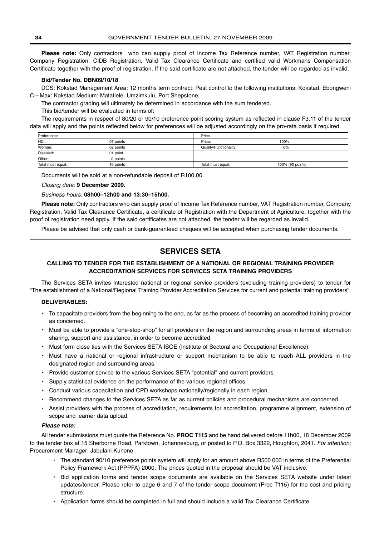Please note: Only contractors who can supply proof of Income Tax Reference number, VAT Registration number, Company Registration, CIDB Registration, Valid Tax Clearance Certificate and certified valid Workmans Compensation Certificate together with the proof of registration. If the said certificate are not attached, the tender will be regarded as invalid.

#### **Bid/Tender No. DBN09/10/18**

DCS: Kokstad Management Area: 12 months term contract: Pest control to the following institutions: Kokstad: Ebongweni C—Max: Kokstad Medium: Matatiele, Umzimkulu, Port Shepstone.

The contractor grading will ultimately be determined in accordance with the sum tendered.

This bid/tender will be evaluated in terms of:

The requirements in respect of 80/20 or 90/10 preference point scoring system as reflected in clause F3.11 of the tender data will apply and the points reflected below for preferences will be adjusted accordingly on the pro-rata basis if required.

| Preference:       |           | Price                  |                  |
|-------------------|-----------|------------------------|------------------|
| HDI:              | 07 points | Price:                 | 100%             |
| Woman:            | 02 points | Quality/Functionality: | 0%               |
| Disabled:         | 01 point  |                        |                  |
| Other:            | 0 points  |                        |                  |
| Total must equal: | 10 points | Total must equal:      | 100% (90 points) |

Documents will be sold at a non-refundable deposit of R100,00.

#### Closing date: **9 December 2009.**

#### Business hours: **08h00–12h00 and 13:30–15h00.**

**Please note:** Only contractors who can supply proof of Income Tax Reference number, VAT Registration number, Company Registration, Valid Tax Clearance Certificate, a certificate of Registration with the Department of Agriculture, together with the proof of registration need apply. If the said certificates are not attached, the tender will be regarded as invalid.

Please be advised that only cash or bank-guaranteed cheques will be accepted when purchasing tender documents.

## **SERVICES SETA**

#### **CALLING TO TENDER FOR THE ESTABLISHMENT OF A NATIONAL OR REGIONAL TRAINING PROVIDER ACCREDITATION SERVICES FOR SERVICES SETA TRAINING PROVIDERS**

The Services SETA invites interested national or regional service providers (excluding training providers) to tender for "The establishment of a National/Regional Training Provider Accreditation Services for current and potential training providers".

#### **DELIVERABLES:**

- To capacitate providers from the beginning to the end, as far as the process of becoming an accredited training provider as concerned.
- Must be able to provide a "one-stop-shop" for all providers in the region and surrounding areas in terms of information sharing, support and assistance, in order to become accredited.
- Must form close ties with the Services SETA ISOE (Institute of Sectoral and Occupational Excellence).
- Must have a national or regional infrastructure or support mechanism to be able to reach ALL providers in the designated region and surrounding areas.
- Provide customer service to the various Services SETA "potential" and current providers.
- Supply statistical evidence on the performance of the various regional offices.
- Conduct various capacitation and CPD workshops nationally/regionally in each region.
- Recommend changes to the Services SETA as far as current policies and procedural mechanisms are concerned.
- Assist providers with the process of accreditation, requirements for accreditation, programme alignment, extension of scope and learner data upload.

#### **Please note:**

All tender submissions must quote the Reference No. **PROC T115** and be hand delivered before 11h00, 18 December 2009 to the tender box at 15 Sherborne Road, Parktown, Johannesburg, or posted to P.O. Box 3322, Houghton, 2041. For attention: Procurement Manager: Jabulani Kunene.

- The standard 90/10 preference points system will apply for an amount above R500 000 in terms of the Preferential Policy Framework Act (PPPFA) 2000. The prices quoted in the proposal should be VAT inclusive.
- Bid application forms and tender scope documents are available on the Services SETA website under latest updates/tender. Please refer to page 6 and 7 of the tender scope document (Proc T115) for the cost and pricing structure.
- Application forms should be completed in full and should include a valid Tax Clearance Certificate.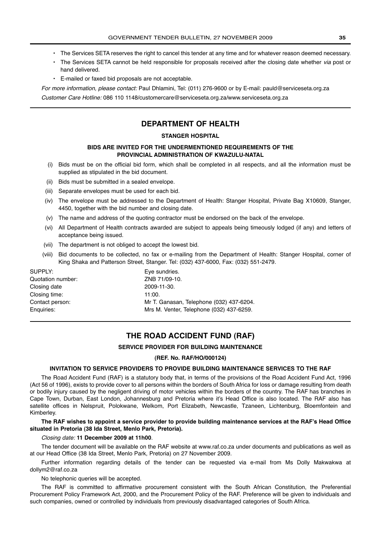- The Services SETA reserves the right to cancel this tender at any time and for whatever reason deemed necessary.
- The Services SETA cannot be held responsible for proposals received after the closing date whether via post or hand delivered.
- E-mailed or faxed bid proposals are not acceptable.

For more information, please contact: Paul Dhlamini, Tel: (011) 276-9600 or by E-mail: pauld@serviceseta.org.za

Customer Care Hotline: 086 110 1148/customercare@serviceseta.org.za/www.serviceseta.org.za

## **DEPARTMENT OF HEALTH**

#### **STANGER HOSPITAL**

#### **BIDS ARE INVITED FOR THE UNDERMENTIONED REQUIREMENTS OF THE PROVINCIAL ADMINISTRATION OF KWAZULU-NATAL**

- (i) Bids must be on the official bid form, which shall be completed in all respects, and all the information must be supplied as stipulated in the bid document.
- (ii) Bids must be submitted in a sealed envelope.
- (iii) Separate envelopes must be used for each bid.
- (iv) The envelope must be addressed to the Department of Health: Stanger Hospital, Private Bag X10609, Stanger, 4450, together with the bid number and closing date.
- (v) The name and address of the quoting contractor must be endorsed on the back of the envelope.
- (vi) All Department of Health contracts awarded are subject to appeals being timeously lodged (if any) and letters of acceptance being issued.
- (vii) The department is not obliged to accept the lowest bid.
- (viii) Bid documents to be collected, no fax or e-mailing from the Department of Health: Stanger Hospital, corner of King Shaka and Patterson Street, Stanger. Tel: (032) 437-6000, Fax: (032) 551-2479.

| SUPPLY:           | Eye sundries.                            |
|-------------------|------------------------------------------|
| Quotation number: | ZNB 71/09-10.                            |
| Closing date      | 2009-11-30.                              |
| Closing time:     | 11:00.                                   |
| Contact person:   | Mr T. Ganasan, Telephone (032) 437-6204. |
| Enguiries:        | Mrs M. Venter, Telephone (032) 437-6259. |
|                   |                                          |

## **THE ROAD ACCIDENT FUND (RAF)**

#### **SERVICE PROVIDER FOR BUILDING MAINTENANCE**

#### **(REF. No. RAF/HO/000124)**

#### **INVITATION TO SERVICE PROVIDERS TO PROVIDE BUILDING MAINTENANCE SERVICES TO THE RAF**

The Road Accident Fund (RAF) is a statutory body that, in terms of the provisions of the Road Accident Fund Act, 1996 (Act 56 of 1996), exists to provide cover to all persons within the borders of South Africa for loss or damage resulting from death or bodily injury caused by the negligent driving of motor vehicles within the borders of the country. The RAF has branches in Cape Town, Durban, East London, Johannesburg and Pretoria where it's Head Office is also located. The RAF also has satellite offices in Nelspruit, Polokwane, Welkom, Port Elizabeth, Newcastle, Tzaneen, Lichtenburg, Bloemfontein and Kimberley.

#### **The RAF wishes to appoint a service provider to provide building maintenance services at the RAF's Head Office situated in Pretoria (38 Ida Street, Menlo Park, Pretoria).**

#### Closing date: **11 December 2009 at 11h00**.

The tender document will be available on the RAF website at www.raf.co.za under documents and publications as well as at our Head Office (38 Ida Street, Menlo Park, Pretoria) on 27 November 2009.

Further information regarding details of the tender can be requested via e-mail from Ms Dolly Makwakwa at dollym2@raf.co.za

No telephonic queries will be accepted.

The RAF is committed to affirmative procurement consistent with the South African Constitution, the Preferential Procurement Policy Framework Act, 2000, and the Procurement Policy of the RAF. Preference will be given to individuals and such companies, owned or controlled by individuals from previously disadvantaged categories of South Africa.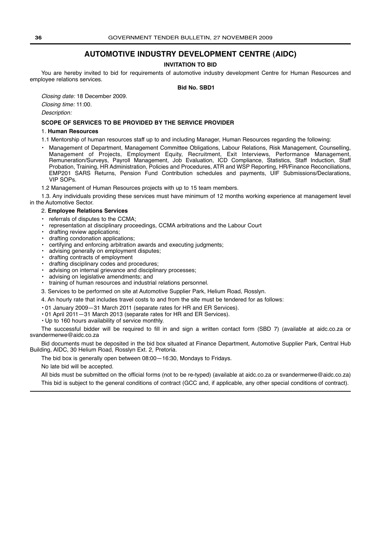## **AUTOMOTIVE INDUSTRY DEVELOPMENT CENTRE (AIDC)**

#### **INVITATION TO BID**

You are hereby invited to bid for requirements of automotive industry development Centre for Human Resources and employee relations services.

**Bid No. SBD1**

Closing date: 18 December 2009.

Closing time: 11:00.

Description:

#### **SCOPE OF SERVICES TO BE PROVIDED BY THE SERVICE PROVIDER**

#### 1. **Human Resources**

- 1.1 Mentorship of human resources staff up to and including Manager, Human Resources regarding the following:
- Management of Department, Management Committee Obligations, Labour Relations, Risk Management, Counselling, Management of Projects, Employment Equity, Recruitment, Exit Interviews, Performance Management, Remuneration/Surveys, Payroll Management, Job Evaluation, ICD Compliance, Statistics, Staff Induction, Staff Probation, Training, HR Administration, Policies and Procedures, ATR and WSP Reporting, HR/Finance Reconciliations, EMP201 SARS Returns, Pension Fund Contribution schedules and payments, UIF Submissions/Declarations, VIP SOPs.

1.2 Management of Human Resources projects with up to 15 team members.

1.3. Any individuals providing these services must have minimum of 12 months working experience at management level in the Automotive Sector.

#### 2. **Employee Relations Services**

- referrals of disputes to the CCMA;
- representation at disciplinary proceedings, CCMA arbitrations and the Labour Court
- drafting review applications;
- drafting condonation applications;
- certifying and enforcing arbitration awards and executing judgments;
- advising generally on employment disputes;
- drafting contracts of employment
- drafting disciplinary codes and procedures;
- advising on internal grievance and disciplinary processes;
- advising on legislative amendments; and
- training of human resources and industrial relations personnel.
- 3. Services to be performed on site at Automotive Supplier Park, Helium Road, Rosslyn.
- 4. An hourly rate that includes travel costs to and from the site must be tendered for as follows:
- 01 January 2009—31 March 2011 (separate rates for HR and ER Services).
- 01 April 2011—31 March 2013 (separate rates for HR and ER Services).
- Up to 160 hours availability of service monthly.

The successful bidder will be required to fill in and sign a written contact form (SBD 7) (available at aidc.co.za or svandermerwe@aidc.co.za

Bid documents must be deposited in the bid box situated at Finance Department, Automotive Supplier Park, Central Hub Building, AIDC, 30 Helium Road, Rosslyn Ext. 2, Pretoria.

The bid box is generally open between 08:00—16:30, Mondays to Fridays.

No late bid will be accepted.

All bids must be submitted on the official forms (not to be re-typed) (available at aidc.co.za or svandermerwe@aidc.co.za) This bid is subject to the general conditions of contract (GCC and, if applicable, any other special conditions of contract).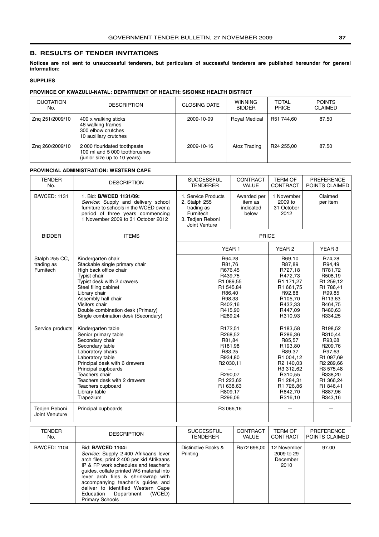## <span id="page-36-0"></span>**B. RESULTS OF TENDER INVITATIONS**

**Notices are not sent to unsuccessful tenderers, but particulars of successful tenderers are published hereunder for general information:**

#### **SUPPLIES**

#### **PROVINCE OF KWAZULU-NATAL: DEPARTMENT OF HEALTH: SISONKE HEALTH DISTRICT**

| QUOTATION<br>No. | <b>DESCRIPTION</b>                                                                           | <b>CLOSING DATE</b> | <b>WINNING</b><br><b>BIDDER</b> | <b>TOTAL</b><br><b>PRICE</b> | <b>POINTS</b><br><b>CLAIMED</b> |
|------------------|----------------------------------------------------------------------------------------------|---------------------|---------------------------------|------------------------------|---------------------------------|
| Zng 251/2009/10  | 400 x walking sticks<br>46 walking frames<br>300 elbow crutches<br>10 auxillary crutches     | 2009-10-09          | <b>Royal Medical</b>            | R51 744.60                   | 87.50                           |
| Zng 260/2009/10  | 2000 flouridated toothpaste<br>100 ml and 5 000 toothbrushes<br>(junior size up to 10 years) | 2009-10-16          | Atoz Trading                    | R24 255.00                   | 87.50                           |

#### **PROVINCIAL ADMINISTRATION: WESTERN CAPE**

| <b>TENDER</b><br>No.                      | <b>DESCRIPTION</b>                                                                                                                                                                                                                                                                         | <b>SUCCESSFUL</b><br><b>TENDERER</b>                                                                                                 | CONTRACT<br>VALUE                            | <b>TERM OF</b><br><b>CONTRACT</b>                                                                                                                   | <b>PREFERENCE</b><br>POINTS CLAIMED                                                                                                                 |
|-------------------------------------------|--------------------------------------------------------------------------------------------------------------------------------------------------------------------------------------------------------------------------------------------------------------------------------------------|--------------------------------------------------------------------------------------------------------------------------------------|----------------------------------------------|-----------------------------------------------------------------------------------------------------------------------------------------------------|-----------------------------------------------------------------------------------------------------------------------------------------------------|
| <b>B/WCED: 1131</b>                       | 1. Bid: B/WCED 1131/09:<br>Service: Supply and delivery school<br>furniture to schools in the WCED over a<br>period of three years commencing<br>1 November 2009 to 31 October 2012                                                                                                        | 1. Service Products<br>2. Stalph 255<br>trading as<br>Furnitech<br>3. Tedien Reboni<br>Joint Venture                                 | Awarded per<br>item as<br>indicated<br>below | 1 November<br>2009 to<br>31 October<br>2012                                                                                                         | Claimed<br>per item                                                                                                                                 |
| <b>BIDDER</b>                             | <b>ITEMS</b>                                                                                                                                                                                                                                                                               | <b>PRICE</b>                                                                                                                         |                                              |                                                                                                                                                     |                                                                                                                                                     |
|                                           |                                                                                                                                                                                                                                                                                            |                                                                                                                                      | YEAR <sub>1</sub>                            | YEAR <sub>2</sub>                                                                                                                                   | YEAR <sub>3</sub>                                                                                                                                   |
| Stalph 255 CC.<br>trading as<br>Furnitech | Kindergarten chair<br>Stackable single primary chair<br>High back office chair<br>Typist chair<br>Typist desk with 2 drawers<br>Steel filing cabinet<br>Library chair<br>Assembly hall chair<br>Visitors chair<br>Double combination desk (Primary)<br>Single combination desk (Secondary) | R64.28<br>R81,76<br>R676,45<br>R439.75<br>R1 089,55<br>R1 545,84<br>R86,40<br>R98,33<br>R402,16<br>R415,90<br>R289,24                |                                              | R69.10<br>R87,89<br>R727,18<br>R472,73<br>R1 171,27<br>R1 661,75<br>R92,88<br>R105,70<br>R432,33<br>R447,09<br>R310,93                              | R74.28<br>R94,49<br>R781,72<br>R508,19<br>R1 259,12<br>R1 786,41<br>R99,85<br>R113,63<br>R464,75<br>R480,63<br>R334,25                              |
| Service products                          | Kindergarten table<br>Senior primary table<br>Secondary chair<br>Secondary table<br>Laboratory chairs<br>Laboratory table<br>Principal desk with 6 drawers<br>Principal cupboards<br>Teachers chair<br>Teachers desk with 2 drawers<br>Teachers cupboard<br>Library table<br>Trapezium     | R172,51<br>R268,52<br>R81,84<br>R181,98<br>R83,25<br>R934,80<br>R2 030,11<br>R290,07<br>R1 223,62<br>R1 638,63<br>R809,17<br>R296,06 |                                              | R183,58<br>R286,36<br>R85,57<br>R193.80<br>R89,37<br>R1 004,12<br>R2 140,03<br>R3 312,62<br>R310,55<br>R1 284,31<br>R1 726,86<br>R842,70<br>R316,10 | R198,52<br>R310,44<br>R93,68<br>R209.76<br>R97,63<br>R1 097,69<br>R2 289,66<br>R3 575,48<br>R338,20<br>R1 366,24<br>R1 846,41<br>R887,96<br>R343,16 |
| Tedjen Reboni<br>Joint Venuture           | Principal cupboards                                                                                                                                                                                                                                                                        | R3 066,16                                                                                                                            |                                              |                                                                                                                                                     |                                                                                                                                                     |

| <b>TENDER</b>       | <b>DESCRIPTION</b>                                                                                                                                                                                                                                                                                                                                                              | <b>SUCCESSFUL</b>               | <b>CONTRACT</b> | TERM OF                                       | <b>PREFERENCE</b> |
|---------------------|---------------------------------------------------------------------------------------------------------------------------------------------------------------------------------------------------------------------------------------------------------------------------------------------------------------------------------------------------------------------------------|---------------------------------|-----------------|-----------------------------------------------|-------------------|
| No.                 |                                                                                                                                                                                                                                                                                                                                                                                 | <b>TENDERER</b>                 | <b>VALUE</b>    | <b>CONTRACT</b>                               | POINTS CLAIMED    |
| <b>B/WCED: 1104</b> | Bid: <b>B/WCED 1104:</b><br>Service: Supply 2 400 Afrikaans lever<br>arch files, print 2 400 per kid Afrikaans<br>IP & FP work schedules and teacher's<br>guides, collate printed WS material into<br>lever arch files & shrinkwrap with<br>accompanying teacher's guides and<br>deliver to identified Western Cape<br>Education Department<br>(WCED)<br><b>Primary Schools</b> | Distinctive Books &<br>Printing | R572 696,00     | 12 November<br>2009 to 29<br>December<br>2010 | 97.00             |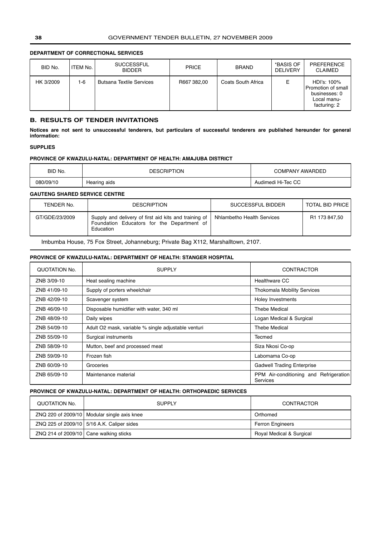### **DEPARTMENT OF CORRECTIONAL SERVICES**

| BID No.   | ITEM No. | <b>SUCCESSFUL</b><br><b>BIDDER</b> | <b>PRICE</b> | <b>BRAND</b>       | *BASIS OF<br><b>DELIVERY</b> | PREFERENCE<br><b>CLAIMED</b>                                                      |
|-----------|----------|------------------------------------|--------------|--------------------|------------------------------|-----------------------------------------------------------------------------------|
| HK 3/2009 | $1-6$    | <b>Butsana Textile Services</b>    | R667 382,00  | Coats South Africa | Е                            | HDI's: 100%<br>Promotion of small<br>businesses: 0<br>Local manu-<br>facturing: 2 |

#### **B. RESULTS OF TENDER INVITATIONS**

**Notices are not sent to unsuccessful tenderers, but particulars of successful tenderers are published hereunder for general information:**

#### **SUPPLIES**

#### **PROVINCE OF KWAZULU-NATAL: DEPARTMENT OF HEALTH: AMAJUBA DISTRICT**

| BID No.   | <b>DESCRIPTION</b> | <b>COMPANY AWARDED</b> |
|-----------|--------------------|------------------------|
| 080/09/10 | Hearing aids       | Audimedi Hi-Tec CC     |

#### **GAUTENG SHARED SERVICE CENTRE**

| TENDER No.     | <b>DESCRIPTION</b>                                                                                               | SUCCESSFUL BIDDER          | <b>TOTAL BID PRICE</b> |
|----------------|------------------------------------------------------------------------------------------------------------------|----------------------------|------------------------|
| GT/GDE/23/2009 | Supply and delivery of first aid kits and training of<br>Foundation Educators for the Department of<br>Education | Nhlambetho Health Services | R1 173 847,50          |

Imbumba House, 75 Fox Street, Johanneburg; Private Bag X112, Marshalltown, 2107.

#### **PROVINCE OF KWAZULU-NATAL: DEPARTMENT OF HEALTH: STANGER HOSPITAL**

| QUOTATION No. | <b>SUPPLY</b>                                       | <b>CONTRACTOR</b>                                         |
|---------------|-----------------------------------------------------|-----------------------------------------------------------|
| ZNB 3/09-10   | Heat sealing machine                                | Healthware CC                                             |
| ZNB 41/09-10  | Supply of porters wheelchair                        | <b>Thokomala Mobility Services</b>                        |
| ZNB 42/09-10  | Scavenger system                                    | Holey Investments                                         |
| ZNB 46/09-10  | Disposable humidifier with water, 340 ml            | <b>Thebe Medical</b>                                      |
| ZNB 48/09-10  | Daily wipes                                         | Logan Medical & Surgical                                  |
| ZNB 54/09-10  | Adult O2 mask, variable % single adjustable venturi | <b>Thebe Medical</b>                                      |
| ZNB 55/09-10  | Surgical instruments                                | Tecmed                                                    |
| ZNB 58/09-10  | Mutton, beef and processed meat                     | Siza Nkosi Co-op                                          |
| ZNB 59/09-10  | Frozen fish                                         | Labomama Co-op                                            |
| ZNB 60/09-10  | Groceries                                           | <b>Gadwell Trading Enterprise</b>                         |
| ZNB 65/09-10  | Maintenance material                                | PPM Air-conditioning and Refrigeration<br><b>Services</b> |

#### **PROVINCE OF KWAZULU-NATAL: DEPARTMENT OF HEALTH: ORTHOPAEDIC SERVICES**

| QUOTATION No.                                  | <b>SUPPLY</b>                                | <b>CONTRACTOR</b>        |
|------------------------------------------------|----------------------------------------------|--------------------------|
|                                                | ZNQ 220 of 2009/10 Modular single axis knee  | Orthomed                 |
|                                                | ZNQ 225 of 2009/10   5/16 A.K. Caliper sides | <b>Ferron Engineers</b>  |
| ZNQ 214 of 2009/10 $\vert$ Cane walking sticks |                                              | Royal Medical & Surgical |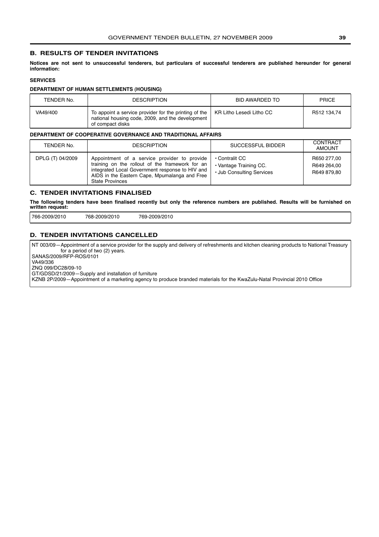#### <span id="page-38-0"></span>**B. RESULTS OF TENDER INVITATIONS**

**Notices are not sent to unsuccessful tenderers, but particulars of successful tenderers are published hereunder for general information:**

## **SERVICES**

#### **DEPARTMENT OF HUMAN SETTLEMENTS (HOUSING)**

| TENDER No. | <b>DESCRIPTION</b>                                                                                                            | BID AWARDED TO           | <b>PRICE</b> |
|------------|-------------------------------------------------------------------------------------------------------------------------------|--------------------------|--------------|
| VA49/400   | To appoint a service provider for the printing of the<br>national housing code, 2009, and the development<br>of compact disks | KR Litho Lesedi Litho CC | R512 134.74  |

#### **DEPARTMENT OF COOPERATIVE GOVERNANCE AND TRADITIONAL AFFAIRS**

| TENDER No.       | <b>DESCRIPTION</b>                                                                                                                                                                                                            | SUCCESSFUL BIDDER                                                     | CONTRACT<br><b>AMOUNT</b>                 |
|------------------|-------------------------------------------------------------------------------------------------------------------------------------------------------------------------------------------------------------------------------|-----------------------------------------------------------------------|-------------------------------------------|
| DPLG (T) 04/2009 | Appointment of a service provider to provide<br>training on the rollout of the framework for an<br>integrated Local Government response to HIV and<br>AIDS in the Eastern Cape, Mpumalanga and Free<br><b>State Provinces</b> | • Contralit CC<br>• Vantage Training CC.<br>• Jub Consulting Services | R650 277.00<br>R649 264.00<br>R649 879.80 |

## **C. TENDER INVITATIONS FINALISED**

**The following tenders have been finalised recently but only the reference numbers are published. Results will be furnished on written request:**

766-2009/2010 768-2009/2010 769-2009/2010

#### **D. TENDER INVITATIONS CANCELLED**

NT 003/09—Appointment of a service provider for the supply and delivery of refreshments and kitchen cleaning products to National Treasury for a period of two (2) years. SANAS/2009/RFP-ROS/0101

VA49/336

ZNQ 099/DC28/09-10

GT/GDSD/21/2009—Supply and installation of furniture

KZNB 2P/2009—Appointment of a marketing agency to produce branded materials for the KwaZulu-Natal Provincial 2010 Office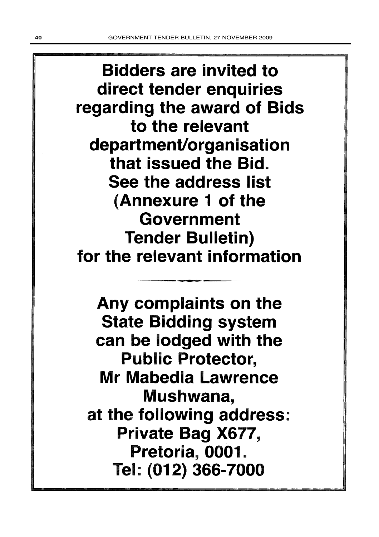**Bidders are invited to** direct tender enquiries regarding the award of Bids to the relevant department/organisation that issued the Bid. See the address list (Annexure 1 of the Government **Tender Bulletin)** for the relevant information

Any complaints on the **State Bidding system** can be lodged with the **Public Protector,** Mr Mabedla Lawrence Mushwana, at the following address: Private Bag X677, Pretoria, 0001. Tel: (012) 366-7000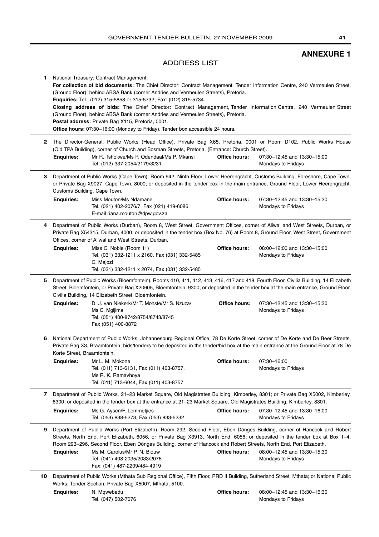## **ANNEXURE 1**

### ADDRESS LIST

<span id="page-40-0"></span>**1** National Treasury: Contract Management: **For collection of bid documents:** The Chief Director: Contract Management, Tender Information Centre, 240 Vermeulen Street, (Ground Floor), behind ABSA Bank (corner Andries and Vermeulen Streets), Pretoria. **Enquiries:** Tel.: (012) 315-5858 or 315-5732; Fax: (012) 315-5734. **Closing address of bids:** The Chief Director: Contract Management, Tender Information Centre, 240 Vermeulen Street (Ground Floor), behind ABSA Bank (corner Andries and Vermeulen Streets), Pretoria. **Postal address:** Private Bag X115, Pretoria, 0001. **Office hours:** 07:30-16:00 (Monday to Friday). Tender box accessible 24 hours.

- **2** The Director-General: Public Works (Head Office), Private Bag X65, Pretoria, 0001 or Room D102, Public Works House (Old TPA Building), corner of Church and Bosman Streets, Pretoria. (Entrance: Church Street). **Office hours:** 07:30–12:45 and 13:30–15:00 Mondays to Fridays **Enquiries:** Mr R. Tshokwe/Ms P. Odendaal/Ms P. Mkansi Tel: (012) 337-2054/2179/3231
- **3** Department of Public Works (Cape Town), Room 942, Ninth Floor, Lower Heerengracht, Customs Building, Foreshore, Cape Town, or Private Bag X9027, Cape Town, 8000; or deposited in the tender box in the main entrance, Ground Floor, Lower Heerengracht, Customs Building, Cape Town.

**Office hours:** 07:30–12:45 and 13:30–15:30 Mondays to Fridays **Enquiries:** Miss Mouton/Ms Ndamane Tel. (021) 402-2076/7, Fax (021) 419-6086 E-mail:riana.mouton@dpw.gov.za

**4** Department of Public Works (Durban), Room 8, West Street, Government Offices, corner of Aliwal and West Streets, Durban, or Private Bag X54315, Durban, 4000; or deposited in the tender box (Box No. 76) at Room 8, Ground Floor, West Street, Government Offices, corner of Aliwal and West Streets, Durban.

| <b>Enguiries:</b> | Miss C. Noble (Room 11)                        | Office hours: | 08:00-12:00 and 13:30-15:00 |
|-------------------|------------------------------------------------|---------------|-----------------------------|
|                   | Tel. (031) 332-1211 x 2160, Fax (031) 332-5485 |               | Mondavs to Fridavs          |
|                   | C. Maiozi                                      |               |                             |
|                   | Tel. (031) 332-1211 x 2074, Fax (031) 332-5485 |               |                             |

- **5** Department of Public Works (Bloemfontein), Rooms 410, 411, 412, 413, 416, 417 and 418, Fourth Floor, Civilia Building, 14 Elizabeth Street, Bloemfontein, or Private Bag X20605, Bloemfontein, 9300; or deposited in the tender box at the main entrance, Ground Floor, Civilia Building, 14 Elizabeth Street, Bloemfontein. **Office hours:** 07:30–12:45 and 13:30–15:30 **Enquiries:** D. J. van Niekerk/Mr T. Monste/Mr S. Nzuza/
	- Mondays to Fridays Ms C. Mgijima Tel. (051) 400-8742/8754/8743/8745 Fax (051) 400-8872
- **6** National Department of Public Works, Johannesburg Regional Office, 78 De Korte Street, corner of De Korte and De Beer Streets, Private Bag X3, Braamfontein; bids/tenders to be deposited in the tender/bid box at the main entrance at the Ground Floor at 78 De Korte Street, Braamfontein.

| <b>Enguiries:</b> | Mr L. M. Mokone                          | <b>Office hours:</b> | 07:30-16:00        |  |
|-------------------|------------------------------------------|----------------------|--------------------|--|
|                   | Tel. (011) 713-6131, Fax (011) 403-8757, |                      | Mondays to Fridays |  |
|                   | Ms R. K. Ramavhova                       |                      |                    |  |
|                   | Tel. (011) 713-6044, Fax (011) 403-8757  |                      |                    |  |

**7** Department of Public Works, 21–23 Market Square, Old Magistrates Building, Kimberley, 8301; or Private Bag X5002, Kimberley, 8300; or deposited in the tender box at the entrance at 21–23 Market Square, Old Magistrates Building, Kimberley, 8301.

| <b>Enguiries:</b> | Ms G. Aysen/F. Lemmetijes               | Office hours: | 07:30–12:45 and 13:30–16:00 |
|-------------------|-----------------------------------------|---------------|-----------------------------|
|                   | Tel. (053) 838-5273, Fax (053) 833-5232 |               | Mondays to Fridays          |

- **9** Department of Public Works (Port Elizabeth), Room 292, Second Floor, Eben Dönges Building, corner of Hancock and Robert Streets, North End, Port Elizabeth, 6056, or Private Bag X3913, North End, 6056; or deposited in the tender box at Box 1–4, Room 293–296, Second Floor, Eben Dönges Building, corner of Hancock and Robert Streets, North End, Port Elizabeth. **Office hours:** 08:00–12:45 and 13:30–15:30 Mondays to Fridays **Enquiries:** Ms M. Carolus/Mr P. N. Blouw Tel: (041) 408-2035/2033/2076 Fax: (041) 487-2209/484-4919
- **10** Department of Public Works (Mthata Sub Regional Office), Fifth Floor, PRD II Building, Sutherland Street, Mthata; or National Public Works, Tender Section, Private Bag X5007, Mthata, 5100.
	- **Office hours:** 08:00–12:45 and 13:30–16:30 **Enquiries:** N. Mqwebedu Tel. (047) 502-7076

Mondays to Fridays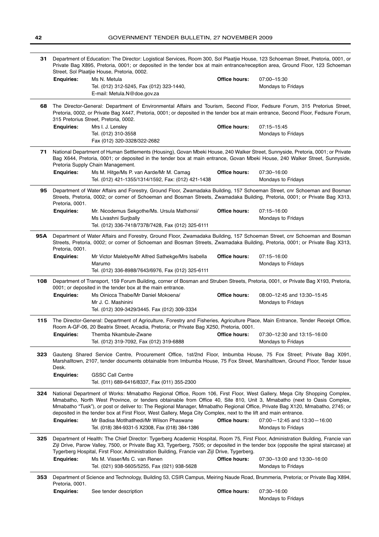| 31  | Department of Education: The Director: Logistical Services, Room 300, Sol Plaatjie House, 123 Schoeman Street, Pretoria, 0001, or<br>Private Bag X895, Pretoria, 0001; or deposited in the tender box at main entrance/reception area, Ground Floor, 123 Schoeman<br>Street, Sol Plaatjie House, Pretoria, 0002. |                                                                                                                                                                                                                                                                                                                                                                                                                                                                                                                                                                                                          |                      |                                                           |
|-----|------------------------------------------------------------------------------------------------------------------------------------------------------------------------------------------------------------------------------------------------------------------------------------------------------------------|----------------------------------------------------------------------------------------------------------------------------------------------------------------------------------------------------------------------------------------------------------------------------------------------------------------------------------------------------------------------------------------------------------------------------------------------------------------------------------------------------------------------------------------------------------------------------------------------------------|----------------------|-----------------------------------------------------------|
|     | <b>Enquiries:</b>                                                                                                                                                                                                                                                                                                | Ms N. Metula<br>Tel. (012) 312-5245, Fax (012) 323-1440,<br>E-mail: Metula.N@doe.gov.za                                                                                                                                                                                                                                                                                                                                                                                                                                                                                                                  | Office hours:        | 07:00-15:30<br>Mondays to Fridays                         |
| 68  | The Director-General: Department of Environmental Affairs and Tourism, Second Floor, Fedsure Forum, 315 Pretorius Street,<br>Pretoria, 0002, or Private Bag X447, Pretoria, 0001; or deposited in the tender box at main entrance, Second Floor, Fedsure Forum,<br>315 Pretorius Street, Pretoria, 0002.         |                                                                                                                                                                                                                                                                                                                                                                                                                                                                                                                                                                                                          |                      |                                                           |
|     | <b>Enquiries:</b>                                                                                                                                                                                                                                                                                                | Mrs I. J. Lensley<br>Tel. (012) 310-3558<br>Fax (012) 320-3328/322-2682                                                                                                                                                                                                                                                                                                                                                                                                                                                                                                                                  | <b>Office hours:</b> | 07:15-15:45<br>Mondays to Fridays                         |
| 71  | National Department of Human Settlements (Housing), Govan Mbeki House, 240 Walker Street, Sunnyside, Pretoria, 0001; or Private<br>Bag X644, Pretoria, 0001; or deposited in the tender box at main entrance, Govan Mbeki House, 240 Walker Street, Sunnyside,<br>Pretoria Supply Chain Management.              |                                                                                                                                                                                                                                                                                                                                                                                                                                                                                                                                                                                                          |                      |                                                           |
|     | <b>Enguiries:</b>                                                                                                                                                                                                                                                                                                | Ms M. Hitge/Ms P. van Aarde/Mr M. Camag<br>Tel. (012) 421-1355/1314/1592, Fax: (012) 421-1438                                                                                                                                                                                                                                                                                                                                                                                                                                                                                                            | <b>Office hours:</b> | 07:30-16:00<br>Mondays to Fridays                         |
| 95  | Department of Water Affairs and Forestry, Ground Floor, Zwamadaka Building, 157 Schoeman Street, cnr Schoeman and Bosman<br>Streets, Pretoria, 0002; or corner of Schoeman and Bosman Streets, Zwamadaka Building, Pretoria, 0001; or Private Bag X313,<br>Pretoria, 0001.                                       |                                                                                                                                                                                                                                                                                                                                                                                                                                                                                                                                                                                                          |                      |                                                           |
|     | <b>Enquiries:</b>                                                                                                                                                                                                                                                                                                | Mr. Nicodemus Sekgothe/Ms. Ursula Mathonsi/<br>Ms Livashni Surjbally<br>Tel. (012) 336-7418/7378/7428, Fax (012) 325-6111                                                                                                                                                                                                                                                                                                                                                                                                                                                                                | <b>Office hours:</b> | 07:15-16:00<br>Mondays to Fridays                         |
| 95A | Department of Water Affairs and Forestry, Ground Floor, Zwamadaka Building, 157 Schoeman Street, cnr Schoeman and Bosman<br>Streets, Pretoria, 0002; or corner of Schoeman and Bosman Streets, Zwamadaka Building, Pretoria, 0001; or Private Bag X313,<br>Pretoria, 0001.                                       |                                                                                                                                                                                                                                                                                                                                                                                                                                                                                                                                                                                                          |                      |                                                           |
|     | <b>Enquiries:</b>                                                                                                                                                                                                                                                                                                | Mr Victor Malebye/Mr Alfred Sathekge/Mrs Isabella<br>Marumo<br>Tel. (012) 336-8988/7643/6976, Fax (012) 325-6111                                                                                                                                                                                                                                                                                                                                                                                                                                                                                         | <b>Office hours:</b> | 07:15-16:00<br>Mondays to Fridays                         |
| 108 | Department of Transport, 159 Forum Building, corner of Bosman and Struben Streets, Pretoria, 0001, or Private Bag X193, Pretoria,                                                                                                                                                                                |                                                                                                                                                                                                                                                                                                                                                                                                                                                                                                                                                                                                          |                      |                                                           |
|     | <b>Enquiries:</b>                                                                                                                                                                                                                                                                                                | 0001; or deposited in the tender box at the main entrance.<br>Ms Oinicca Thabe/Mr Daniel Mokoena/<br>Mr J. C. Mashinini<br>Tel. (012) 309-3429/3445. Fax (012) 309-3334                                                                                                                                                                                                                                                                                                                                                                                                                                  | <b>Office hours:</b> | 08:00-12:45 and 13:30-15:45<br>Mondays to Fridays         |
| 115 | The Director-General: Department of Agriculture, Forestry and Fisheries, Agriculture Place, Main Entrance, Tender Receipt Office,                                                                                                                                                                                |                                                                                                                                                                                                                                                                                                                                                                                                                                                                                                                                                                                                          |                      |                                                           |
|     | <b>Enquiries:</b>                                                                                                                                                                                                                                                                                                | Room A-GF-06, 20 Beatrix Street, Arcadia, Pretoria; or Private Bag X250, Pretoria, 0001.<br>Themba Nkambule-Zwane<br>Tel. (012) 319-7092, Fax (012) 319-6888                                                                                                                                                                                                                                                                                                                                                                                                                                             | Office hours:        | 07:30-12:30 and 13:15-16:00<br>Mondays to Fridays         |
| 323 | Desk.<br><b>Enquiries:</b>                                                                                                                                                                                                                                                                                       | Gauteng Shared Service Centre, Procurement Office, 1st/2nd Floor, Imbumba House, 75 Fox Street; Private Bag X091,<br>Marshalltown, 2107, tender documents obtainable from Imbumba House, 75 Fox Street, Marshalltown, Ground Floor, Tender Issue<br><b>GSSC Call Centre</b>                                                                                                                                                                                                                                                                                                                              |                      |                                                           |
|     |                                                                                                                                                                                                                                                                                                                  | Tel. (011) 689-6416/8337, Fax (011) 355-2300                                                                                                                                                                                                                                                                                                                                                                                                                                                                                                                                                             |                      |                                                           |
| 324 | <b>Enquiries:</b>                                                                                                                                                                                                                                                                                                | National Department of Works: Mmabatho Regional Office, Room 106, First Floor, West Gallery, Mega City Shopping Complex,<br>Mmabatho, North West Province, or tenders obtainable from Office 40, Site 810, Unit 3, Mmabatho (next to Oasis Complex,<br>Mmabatho "Tusk"), or post or deliver to: The Regional Manager, Mmabatho Regional Office, Private Bag X120, Mmabatho, 2745; or<br>deposited in the tender box at First Floor, West Gallery, Mega City Complex, next to the lift and main entrance.<br>Mr Badisa Motlhatlhedi/Mr Wilson Phaswane<br>Tel. (018) 384-9331-5 X2308, Fax (018) 384-1386 | Office hours:        | $07:00 - 12:45$ and $13:30 - 16:00$<br>Mondays to Fridays |
| 325 |                                                                                                                                                                                                                                                                                                                  | Department of Health: The Chief Director: Tygerberg Academic Hospital, Room 75, First Floor, Administration Building, Francie van<br>Zijl Drive, Parow Valley, 7500, or Private Bag X3, Tygerberg, 7505; or deposited in the tender box (opposite the spiral staircase) at<br>Tygerberg Hospital, First Floor, Administration Building, Francie van Zijl Drive, Tygerberg.                                                                                                                                                                                                                               |                      |                                                           |
|     | <b>Enquiries:</b>                                                                                                                                                                                                                                                                                                | Ms M. Visser/Ms C. van Renen<br>Tel. (021) 938-5605/5255, Fax (021) 938-5628                                                                                                                                                                                                                                                                                                                                                                                                                                                                                                                             | Office hours:        | 07:30-13:00 and 13:30-16:00<br>Mondays to Fridays         |
| 353 | Pretoria, 0001.                                                                                                                                                                                                                                                                                                  | Department of Science and Technology, Building 53, CSIR Campus, Meiring Naude Road, Brummeria, Pretoria; or Private Bag X894,                                                                                                                                                                                                                                                                                                                                                                                                                                                                            |                      |                                                           |
|     | <b>Enquiries:</b>                                                                                                                                                                                                                                                                                                | See tender description                                                                                                                                                                                                                                                                                                                                                                                                                                                                                                                                                                                   | Office hours:        | 07:30-16:00<br>Mondays to Fridays                         |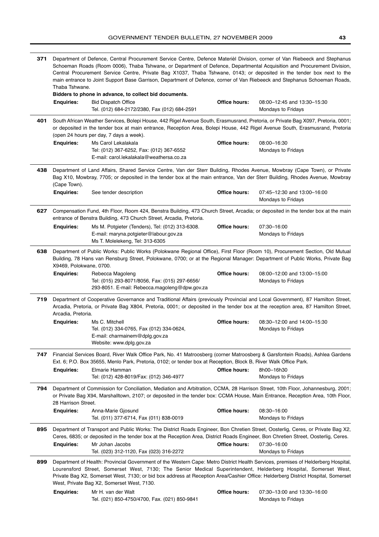| 371                                                                                                                                                                                                                                                                                           | Department of Defence, Central Procurement Service Centre, Defence Materièl Division, corner of Van Riebeeck and Stephanus<br>Schoeman Roads (Room 0006), Thaba Tshwane, or Department of Defence, Departmental Acquisition and Procurement Division,<br>Central Procurement Service Centre, Private Bag X1037, Thaba Tshwane, 0143; or deposited in the tender box next to the |                                                                                                                                                                                                                                                                                                                                                                                                                                                                                   |                      |                                                   |
|-----------------------------------------------------------------------------------------------------------------------------------------------------------------------------------------------------------------------------------------------------------------------------------------------|---------------------------------------------------------------------------------------------------------------------------------------------------------------------------------------------------------------------------------------------------------------------------------------------------------------------------------------------------------------------------------|-----------------------------------------------------------------------------------------------------------------------------------------------------------------------------------------------------------------------------------------------------------------------------------------------------------------------------------------------------------------------------------------------------------------------------------------------------------------------------------|----------------------|---------------------------------------------------|
|                                                                                                                                                                                                                                                                                               | main entrance to Joint Support Base Garrison, Department of Defence, corner of Van Riebeeck and Stephanus Schoeman Roads,<br>Thaba Tshwane.                                                                                                                                                                                                                                     |                                                                                                                                                                                                                                                                                                                                                                                                                                                                                   |                      |                                                   |
|                                                                                                                                                                                                                                                                                               | <b>Enquiries:</b>                                                                                                                                                                                                                                                                                                                                                               | Bidders to phone in advance, to collect bid documents.<br><b>Bid Dispatch Office</b><br>Tel. (012) 684-2172/2380, Fax (012) 684-2591                                                                                                                                                                                                                                                                                                                                              | Office hours:        | 08:00-12:45 and 13:30-15:30<br>Mondays to Fridays |
| 401                                                                                                                                                                                                                                                                                           |                                                                                                                                                                                                                                                                                                                                                                                 | South African Weather Services, Bolepi House, 442 Rigel Avenue South, Erasmusrand, Pretoria, or Private Bag X097, Pretoria, 0001;                                                                                                                                                                                                                                                                                                                                                 |                      |                                                   |
|                                                                                                                                                                                                                                                                                               |                                                                                                                                                                                                                                                                                                                                                                                 | or deposited in the tender box at main entrance, Reception Area, Bolepi House, 442 Rigel Avenue South, Erasmusrand, Pretoria<br>(open 24 hours per day, 7 days a week).                                                                                                                                                                                                                                                                                                           |                      |                                                   |
|                                                                                                                                                                                                                                                                                               | <b>Enquiries:</b>                                                                                                                                                                                                                                                                                                                                                               | Ms Carol Lekalakala                                                                                                                                                                                                                                                                                                                                                                                                                                                               | <b>Office hours:</b> | 08:00-16:30                                       |
|                                                                                                                                                                                                                                                                                               |                                                                                                                                                                                                                                                                                                                                                                                 | Tel: (012) 367-6252, Fax: (012) 367-6552<br>E-mail: carol.lekalakala@weathersa.co.za                                                                                                                                                                                                                                                                                                                                                                                              |                      | Mondays to Fridays                                |
| 438                                                                                                                                                                                                                                                                                           | (Cape Town).                                                                                                                                                                                                                                                                                                                                                                    | Department of Land Affairs, Shared Service Centre, Van der Sterr Building, Rhodes Avenue, Mowbray (Cape Town), or Private<br>Bag X10, Mowbray, 7705; or deposited in the tender box at the main entrance, Van der Sterr Building, Rhodes Avenue, Mowbray                                                                                                                                                                                                                          |                      |                                                   |
|                                                                                                                                                                                                                                                                                               | <b>Enquiries:</b>                                                                                                                                                                                                                                                                                                                                                               | See tender description                                                                                                                                                                                                                                                                                                                                                                                                                                                            | Office hours:        | 07:45-12:30 and 13:00-16:00<br>Mondays to Fridays |
| 627                                                                                                                                                                                                                                                                                           |                                                                                                                                                                                                                                                                                                                                                                                 | Compensation Fund, 4th Floor, Room 424, Benstra Building, 473 Church Street, Arcadia; or deposited in the tender box at the main<br>entrance of Benstra Building, 473 Church Street, Arcadia, Pretoria.                                                                                                                                                                                                                                                                           |                      |                                                   |
|                                                                                                                                                                                                                                                                                               | <b>Enquiries:</b>                                                                                                                                                                                                                                                                                                                                                               | Ms M. Potgieter (Tenders), Tel: (012) 313-6308.<br>E-mail: maryna.potgieter@labour.gov.za<br>Ms T. Molelekeng, Tel: 313-6305                                                                                                                                                                                                                                                                                                                                                      | Office hours:        | 07:30-16:00<br>Mondays to Fridays                 |
| Department of Public Works: Public Works (Polokwane Regional Office), First Floor (Room 10), Procurement Section, Old Mutual<br>638<br>Building, 78 Hans van Rensburg Street, Polokwane, 0700; or at the Regional Manager: Department of Public Works, Private Bag<br>X9469, Polokwane, 0700. |                                                                                                                                                                                                                                                                                                                                                                                 |                                                                                                                                                                                                                                                                                                                                                                                                                                                                                   |                      |                                                   |
|                                                                                                                                                                                                                                                                                               | <b>Enquiries:</b>                                                                                                                                                                                                                                                                                                                                                               | Rebecca Magoleng<br>Tel: (015) 293-8071/8056, Fax: (015) 297-6656/<br>293-8051. E-mail: Rebecca.magoleng@dpw.gov.za                                                                                                                                                                                                                                                                                                                                                               | Office hours:        | 08:00-12:00 and 13:00-15:00<br>Mondays to Fridays |
| 719                                                                                                                                                                                                                                                                                           | Arcadia, Pretoria.                                                                                                                                                                                                                                                                                                                                                              | Department of Cooperative Governance and Traditional Affairs (previously Provincial and Local Government), 87 Hamilton Street,<br>Arcadia, Pretoria, or Private Bag X804, Pretoria, 0001; or deposited in the tender box at the reception area, 87 Hamilton Street,                                                                                                                                                                                                               |                      |                                                   |
|                                                                                                                                                                                                                                                                                               | <b>Enquiries:</b>                                                                                                                                                                                                                                                                                                                                                               | Ms C. Mitchell<br>Tel. (012) 334-0765, Fax (012) 334-0624,<br>$E$ -mail: charmainem@dplg.gov.za<br>Website: www.dplg.gov.za                                                                                                                                                                                                                                                                                                                                                       | Office hours:        | 08:30-12:00 and 14:00-15:30<br>Mondays to Fridays |
| 747                                                                                                                                                                                                                                                                                           |                                                                                                                                                                                                                                                                                                                                                                                 | Financial Services Board, River Walk Office Park, No. 41 Matroosberg (corner Matroosberg & Garsfontein Roads), Ashlea Gardens<br>Ext. 6; P.O. Box 35655, Menlo Park, Pretoria, 0102; or tender box at Reception, Block B, River Walk Office Park.                                                                                                                                                                                                                                 |                      |                                                   |
|                                                                                                                                                                                                                                                                                               | <b>Enquiries:</b>                                                                                                                                                                                                                                                                                                                                                               | Elmarie Hamman<br>Tel: (012) 428-8019/Fax: (012) 346-4977                                                                                                                                                                                                                                                                                                                                                                                                                         | <b>Office hours:</b> | 8h00-16h30<br>Mondays to Fridays                  |
| 794                                                                                                                                                                                                                                                                                           | 28 Harrison Street.                                                                                                                                                                                                                                                                                                                                                             | Department of Commission for Conciliation, Mediation and Arbitration, CCMA, 28 Harrison Street, 10th Floor, Johannesburg, 2001;<br>or Private Bag X94, Marshalltown, 2107; or deposited in the tender box: CCMA House, Main Entrance, Reception Area, 10th Floor,                                                                                                                                                                                                                 |                      |                                                   |
|                                                                                                                                                                                                                                                                                               | <b>Enquiries:</b>                                                                                                                                                                                                                                                                                                                                                               | Anna-Marie Gjosund<br>Tel. (011) 377-6714, Fax (011) 838-0019                                                                                                                                                                                                                                                                                                                                                                                                                     | Office hours:        | 08:30-16:00<br>Mondays to Fridays                 |
| 895                                                                                                                                                                                                                                                                                           | <b>Enquiries:</b>                                                                                                                                                                                                                                                                                                                                                               | Department of Transport and Public Works: The District Roads Engineer, Bon Chretien Street, Oosterlig, Ceres, or Private Bag X2,<br>Ceres, 6835; or deposited in the tender box at the Reception Area, District Roads Engineer, Bon Chretien Street, Oosterlig, Ceres.<br>Mr Johan Jacobs                                                                                                                                                                                         | <b>Office hours:</b> | 07:30-16:00                                       |
| 899                                                                                                                                                                                                                                                                                           |                                                                                                                                                                                                                                                                                                                                                                                 | Tel. (023) 312-1120, Fax (023) 316-2272<br>Department of Health: Provincial Government of the Western Cape: Metro District Health Services, premises of Helderberg Hospital,<br>Lourensford Street, Somerset West, 7130; The Senior Medical Superintendent, Helderberg Hospital, Somerset West,<br>Private Bag X2, Somerset West, 7130; or bid box address at Reception Area/Cashier Office: Helderberg District Hospital, Somerset<br>West, Private Bag X2, Somerset West, 7130. |                      | Mondays to Fridays                                |
|                                                                                                                                                                                                                                                                                               | <b>Enquiries:</b>                                                                                                                                                                                                                                                                                                                                                               | Mr H. van der Walt<br>Tel. (021) 850-4750/4700, Fax. (021) 850-9841                                                                                                                                                                                                                                                                                                                                                                                                               | Office hours:        | 07:30-13:00 and 13:30-16:00<br>Mondays to Fridays |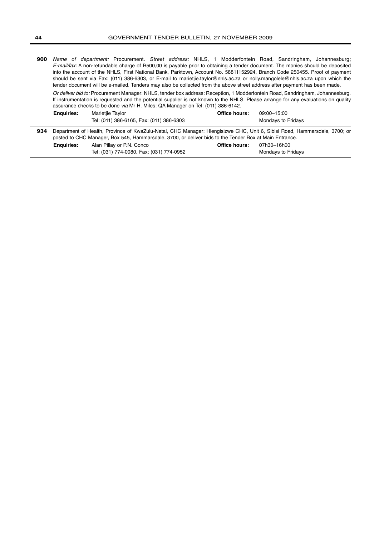**900** Name of department: Procurement. Street address: NHLS, 1 Modderfontein Road, Sandringham, Johannesburg; E-mail/fax: A non-refundable charge of R500,00 is payable prior to obtaining a tender document. The monies should be deposited into the account of the NHLS, First National Bank, Parktown, Account No. 58811152924, Branch Code 250455. Proof of payment should be sent via Fax: (011) 386-6303, or E-mail to marietjie.taylor@nhls.ac.za or nolly.mangolele@nhls.ac.za upon which the tender document will be e-mailed. Tenders may also be collected from the above street address after payment has been made.

Or deliver bid to: Procurement Manager: NHLS, tender box address: Reception, 1 Modderfontein Road, Sandringham, Johannesburg. If instrumentation is requested and the potential supplier is not known to the NHLS. Please arrange for any evaluations on quality assurance checks to be done via Mr H. Miles: QA Manager on Tel: (011) 386-6142.

|     | <b>Enguiries:</b> | Marietjie Taylor                                                                                                          | Office hours: | 09:00-15:00        |  |
|-----|-------------------|---------------------------------------------------------------------------------------------------------------------------|---------------|--------------------|--|
|     |                   | Tel: (011) 386-6165, Fax: (011) 386-6303                                                                                  |               | Mondavs to Fridavs |  |
| 934 |                   | Department of Health, Province of KwaZulu-Natal, CHC Manager: Hlengisizwe CHC, Unit 6, Sibisi Road, Hammarsdale, 3700; or |               |                    |  |
|     |                   | posted to CHC Manager, Box 545, Hammarsdale, 3700, or deliver bids to the Tender Box at Main Entrance.                    |               |                    |  |

| <b>Enguiries:</b> | Alan Pillay or P.N. Conco                | Office hours: 07h30-16h00 |                    |
|-------------------|------------------------------------------|---------------------------|--------------------|
|                   | Tel: (031) 774-0080, Fax: (031) 774-0952 |                           | Mondavs to Fridavs |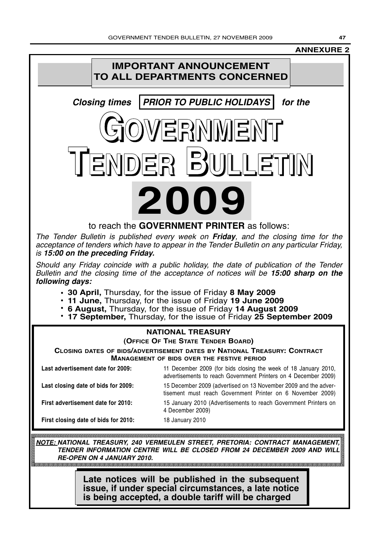## **ANNEXURE 2**